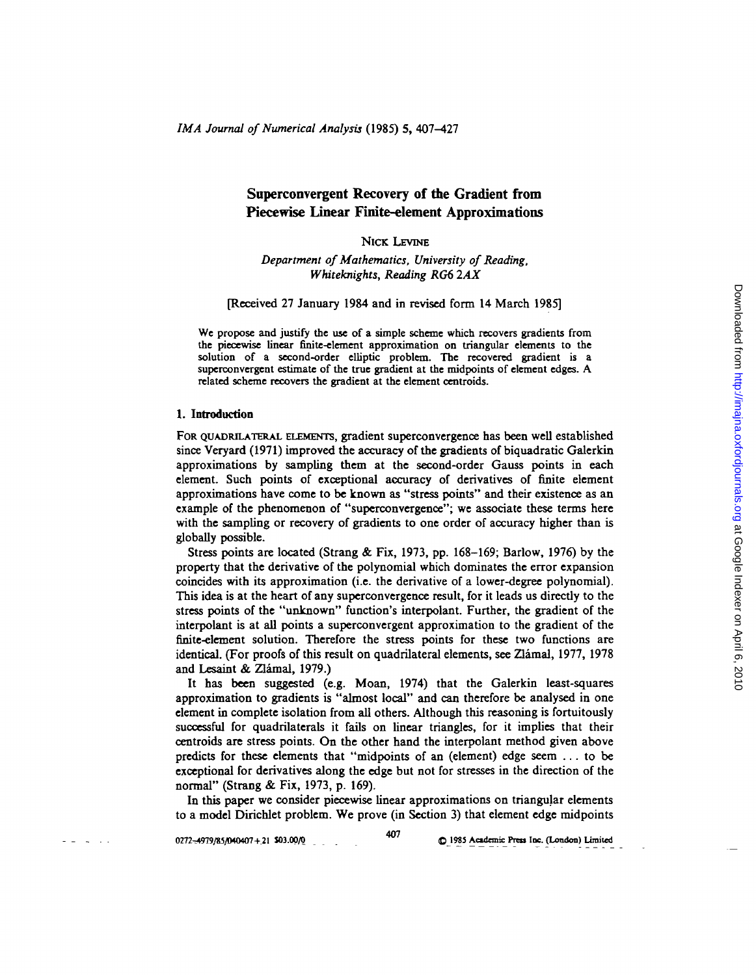# **Superconvergen t Recover y o f th e Gradien t from Piecewis e Linea r Finite-elemen t Approximation s**

NIC K LEVIN E

*Department of Mathematics, University of Reading, Whiteknights, Reading RG6 2AX*

[Receive d 2 7 Januar y 198 4 an d i n revised for m 1 4 Marc h 1985 ]

We propose and justify the use of a simple scheme which recovers gradients from the piecewise linear finite-element approximation on triangular elements to the solution of a second-order elliptic problem. The recovered gradient is a superconvergent estimate of the true gradient at the midpoints of element edges. A related scheme recovers the gradient at the element centroids.

#### 1 . Introductio n

For quadrilateral elements, gradient superconvergence has been well established since Veryard (1971) improved the accuracy of the gradients of biquadratic Galerkin approximations by sampling them at the second-order Gauss points in each element. Such points of exceptional accuracy of derivatives of finite element approximations have come to be known as "stress points" and their existence as an example of the phenomenon of "superconvergence"; we associate these terms here with the sampling or recovery of gradients to one order of accuracy higher than is globall y possible .

Stress points are located (Strang & Fix, 1973, pp. 168–169; Barlow, 1976) by the property that the derivative of the polynomial which dominates the error expansion coincides with its approximation (i.e. the derivative of a lower-degree polynomial). This idea is at the heart of any superconvergence result, for it leads us directly to the stress points of the "unknown" function's interpolant. Further, the gradient of the interpolant is at all points a superconvergent approximation to the gradient of the finite-element solution. Therefore the stress points for these two functions are identical. (For proofs of this result on quadrilateral elements, see Zlámal, 1977, 1978 an d Lesain t & Zlamal , 1979. )

It has been suggested (e.g. Moan, 1974) that the Galerkin least-squares approximation to gradients is "almost local" and can therefore be analysed in one element in complete isolation from all others. Although this reasoning is fortuitously successful for quadrilaterals it fails on linear triangles, for it implies that their centroid s ar e stres s points . O n th e othe r han d th e interpolan t metho d give n abov e predicts for these elements that "midpoints of an (element) edge seem ... to be exceptional for derivatives along the edge but not for stresses in the direction of the normal" (Strang & Fix, 1973, p. 169).

In this paper we consider piecewise linear approximations on triangular elements to a model Dirichlet problem. We prove (in Section 3) that element edge midpoints

0272-4979/85/040407+21 \$03.00/0

**Contract Contract Contract** 

**40 7**

**0 ©198 5 Academi c Pre a Inc . (London ) Limite d**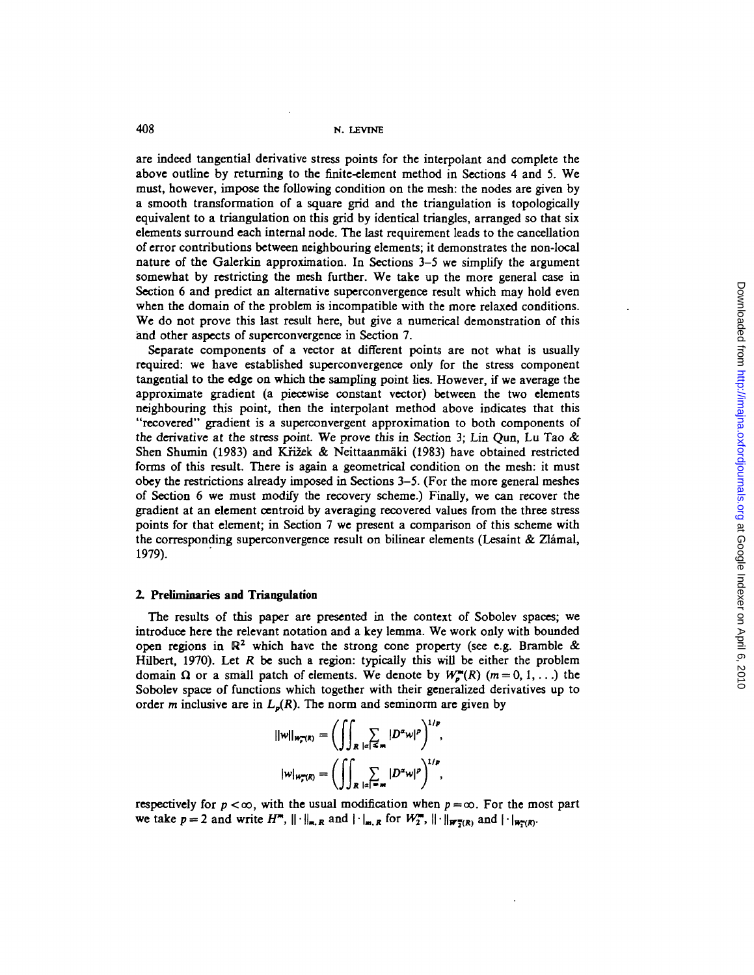**8 N . LEVTNE**

are indeed tangential derivative stress points for the interpolant and complete the above outline by returning to the finite-element method in Sections 4 and 5. We must, however, impose the following condition on the mesh: the nodes are given by a smooth transformation of a square grid and the triangulation is topologically equivalent to a triangulation on this grid by identical triangles, arranged so that six elements surround each internal node. The last requirement leads to the cancellation of erro r contribution s betwee n neighbourin g elements ; i t demonstrate s th e non-loca l nature of the Galerkin approximation. In Sections 3-5 we simplify the argument somewhat by restricting the mesh further. We take up the more general case in Section 6 and predict an alternative superconvergence result which may hold even when the domain of the problem is incompatible with the more relaxed conditions. We do not prove this last result here, but give a numerical demonstration of this and other aspects of superconvergence in Section 7.

Separate components of a vector at different points are not what is usually required: we have established superconvergence only for the stress component tangential to the edge on which the sampling point lies. However, if we average the approximate gradient (a piecewise constant vector) between the two elements neighbouring this point, then the interpolant method above indicates that this "recovered" gradient is a superconvergent approximation to both components of the derivative at the stress point. We prove this in Section 3; Lin Qun, Lu Tao & Shen Shumin (1983) and Křižek & Neittaanmäki (1983) have obtained restricted forms of this result. There is again a geometrical condition on the mesh: it must obe y th e restriction s alread y impose d i n Section s 3-5 . (Fo r th e mor e general meshe s of Section 6 we must modify the recovery scheme.) Finally, we can recover the gradient at an element centroid by averaging recovered values from the three stress points for that element; in Section 7 we present a comparison of this scheme with the corresponding superconvergence result on bilinear elements (Lesaint & Zlámal, 1979) .

#### 2 . Preliminarie s **an d Triangulatio n**

The results of this paper are presented in the context of Sobolev spaces; we introduce here the relevant notation and a key lemma. We work only with bounded open regions in  $\mathbb{R}^2$  which have the strong cone property (see e.g. Bramble & Hilbert, 1970). Let R be such a region: typically this will be either the problem domain  $\Omega$  or a small patch of elements. We denote by  $W_p^m(R)$  ( $m = 0, 1, ...$ ) the Sobolev space of functions which together with their generalized derivatives up to order *m* inclusive are in  $L_p(R)$ . The norm and seminorm are given by

$$
||w||_{W_{\mathcal{T}}(\mathcal{R})} = \left( \iint_{\mathcal{R}} \sum_{|\alpha| \leq m} |D^{\alpha}w|^p \right)^{1/p},
$$

$$
|w|_{W_{\mathcal{T}}(\mathcal{R})} = \left( \iint_{\mathcal{R}} \sum_{|\alpha| = m} |D^{\alpha}w|^p \right)^{1/p},
$$

respectively for  $p < \infty$ , with the usual modification when  $p = \infty$ . For the most part we take  $p = 2$  and write  $H^m$ ,  $\|\cdot\|_{m,R}$  and  $\|\cdot\|_{m,R}$  for  $W_2^m$ ,  $\|\cdot\|_{W_2^m(R)}$  and  $\|\cdot\|_{W_2^m(R)}$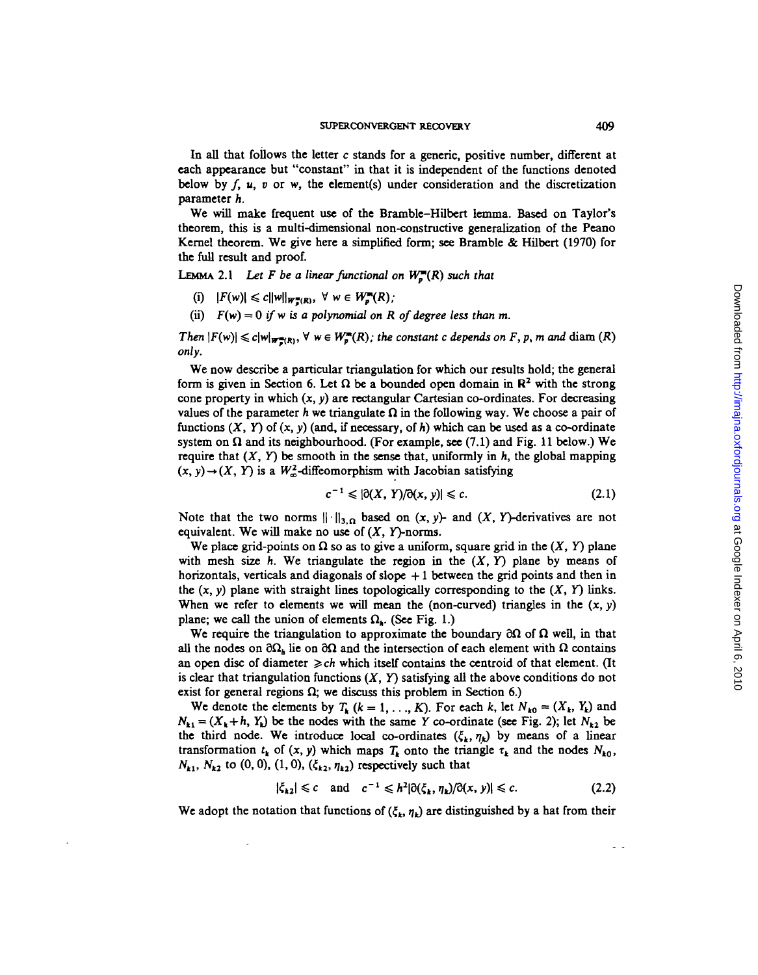In all that follows the letter  $c$  stands for a generic, positive number, different at each appearance but "constant" in that it is independent of the functions denoted below by /, *u, v* or w, the element(s) under consideration and the discretization parameter *h.*

We will make frequent use of the Bramblc-Hilbert lemma. Based on Taylor's theorem, this is a multi-dimensional non-constructive generalization of the Peano Kernel theorem. We give here a simplified form; see Bramble & Hilbert (1970) for the full result and proof.

LEMMA 2.1 Let F be a linear functional on  $W_n^m(R)$  such that

- (i)  $|F(w)| \le c||w||_{W^m_R(R)}, \forall w \in W^m_P(R);$
- (ii)  $F(w) = 0$  if w is a polynomial on R of degree less than m.

*Then*  $|F(w)| \le c|w|_{\overline{w}^m(R)}, \forall w \in W^m_p(R)$ ; the constant c depends on F, p, m and diam (R) *only.*

We now describe a particular triangulation for which our results hold; the general form is given in Section 6. Let  $\Omega$  be a bounded open domain in  $\mathbb{R}^2$  with the strong cone property in which (x, *y)* are rectangular Cartesian co-ordinates. For decreasing values of the parameter h we triangulate  $\Omega$  in the following way. We choose a pair of functions *(X, Y)* of (x, *y)* (and, if necessary, of *h)* which can be used as a co-ordinate system on  $\Omega$  and its neighbourhood. (For example, see (7.1) and Fig. 11 below.) We require that  $(X, Y)$  be smooth in the sense that, uniformly in h, the global mapping  $(x, y) \rightarrow (X, Y)$  is a  $W^2_{\infty}$ -diffeomorphism with Jacobian satisfying

$$
c^{-1} \leqslant |\partial(X, Y)/\partial(x, y)| \leqslant c. \tag{2.1}
$$

Note that the two norms  $\|\cdot\|_{3,\Omega}$  based on  $(x, y)$ - and  $(X, Y)$ -derivatives are not equivalent. We will make no use of *(X,* Y)-norms.

We place grid-points on  $\Omega$  so as to give a uniform, square grid in the  $(X, Y)$  plane with mesh size  $h$ . We triangulate the region in the  $(X, Y)$  plane by means of horizontals, verticals and diagonals of slope  $+1$  between the grid points and then in the  $(x, y)$  plane with straight lines topologically corresponding to the  $(X, Y)$  links. When we refer to elements we will mean the (non-curved) triangles in the  $(x, y)$ plane; we call the union of elements  $\Omega_k$ . (See Fig. 1.)

We require the triangulation to approximate the boundary  $\partial\Omega$  of  $\Omega$  well, in that all the nodes on  $\partial\Omega_k$  lie on  $\partial\Omega$  and the intersection of each element with  $\Omega$  contains an open disc of diameter  $\geq c$ *h* which itself contains the centroid of that element. (It is clear that triangulation functions  $(X, Y)$  satisfying all the above conditions do not exist for general regions  $\Omega$ ; we discuss this problem in Section 6.)

We denote the elements by  $T_k$  ( $k = 1, ..., K$ ). For each  $k$ , let  $N_{k0} = (X_k, Y_k)$  and  $N_{k1} = (X_k + h, Y_k)$  be the nodes with the same *Y* co-ordinate (see Fig. 2); let  $N_{k2}$  be the third node. We introduce local co-ordinates  $(\xi_k, \eta_k)$  by means of a linear transformation  $t_k$  of  $(x, y)$  which maps  $T_k$  onto the triangle  $\tau_k$  and the nodes  $N_{k0}$ ,  $N_{k1}$ *, N<sub>k2</sub>* to (0, 0), (1, 0), ( $\xi_{k2}$ *, n*<sub>k2</sub>) respectively such that

$$
|\xi_{k2}| \leqslant c \quad \text{and} \quad c^{-1} \leqslant h^2 |\partial(\xi_k, \eta_k)/\partial(x, y)| \leqslant c. \tag{2.2}
$$

We adopt the notation that functions of  $(\xi_k, \eta_k)$  are distinguished by a hat from their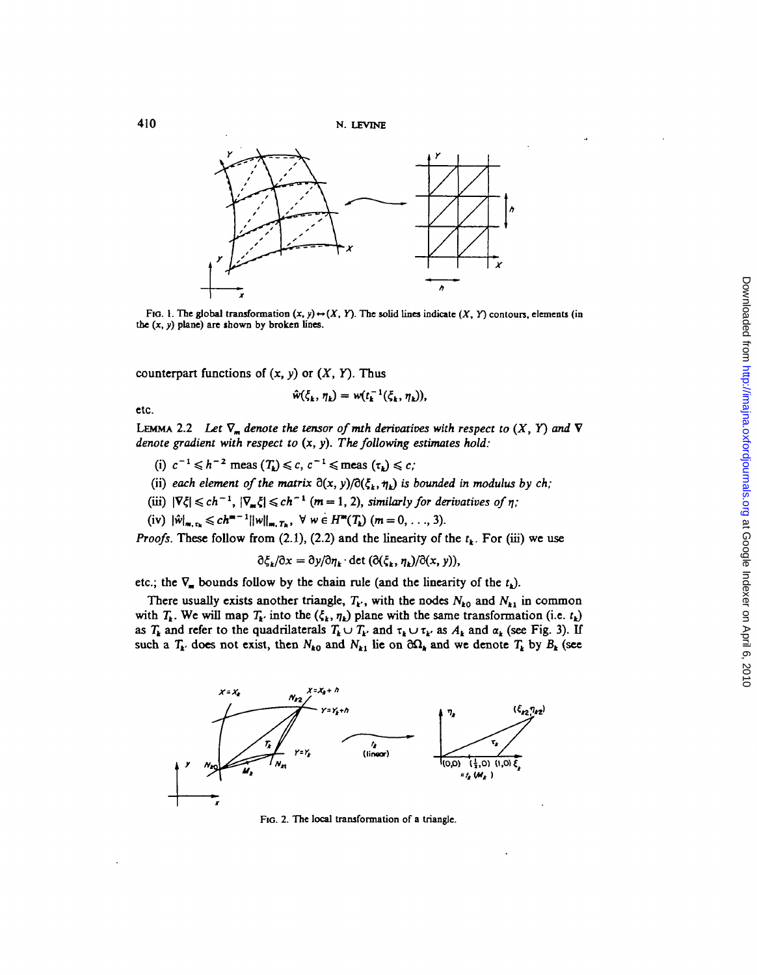410 **N. LEVINE**



FIG. 1. The global transformation  $(x, y) \leftrightarrow (X, Y)$ . The solid lines indicate  $(X, Y)$  contours, elements (in **the** *(x, y)* **plane) are shown by broken lines.**

counterpart functions of *(x, y)* or *(X, Y).* Thus

$$
\hat{w}(\xi_k, \eta_k) = w(t_k^{-1}(\xi_k, \eta_k)),
$$

etc.

LEMMA 2.2 Let  $\nabla_m$  denote the tensor of mth derivatives with respect to  $(X, Y)$  and  $\nabla$ *denote gradient with respect to* (x, *y). The following estimates hold:*

- (i)  $c^{-1} \le h^{-2}$  meas  $(T_k) \le c, c^{-1} \le \text{meas } (\tau_k) \le c;$
- (ii) each element of the matrix  $\partial(x, y)/\partial(\xi_k, \eta_k)$  is bounded in modulus by ch;
- (iii)  $|\nabla \xi| \le c h^{-1}$ ,  $|\nabla_m \xi| \le c h^{-1}$   $(m=1, 2)$ , *similarly for derivatives of*  $\eta$ ;
- (iv)  $\|\hat{w}\|_{m,\tau_k} \leq c h^{m-1} \|w\|_{m,\tau_k}, \ \forall \ w \in H^m(T_k)(m = 0, \ldots, 3).$

*Proofs.* These follow from (2.1), (2.2) and the linearity of the *tk.* For (iii) we use

$$
\partial \xi_k/\partial x = \partial y/\partial \eta_k \cdot \det (\partial (\xi_k, \eta_k)/\partial (x, y)),
$$

etc.; the  $\nabla_{\mathbf{x}}$  bounds follow by the chain rule (and the linearity of the  $t_{\mathbf{k}}$ ).

There usually exists another triangle,  $T_k$ , with the nodes  $N_{k0}$  and  $N_{k1}$  in common with  $T_k$ . We will map  $T_{k'}$  into the  $(\xi_k, \eta_k)$  plane with the same transformation (i.e.  $t_k$ ) as  $T_k$  and refer to the quadrilaterals  $T_k \cup T_{k'}$  and  $\tau_k \cup \tau_{k'}$  as  $A_k$  and  $\alpha_k$  (see Fig. 3). If such a  $T_k$  does not exist, then  $N_{k0}$  and  $N_{k1}$  lie on  $\partial\Omega_k$  and we denote  $T_k$  by  $B_k$  (see



**FIG. 2. The local transformation of a triangle.**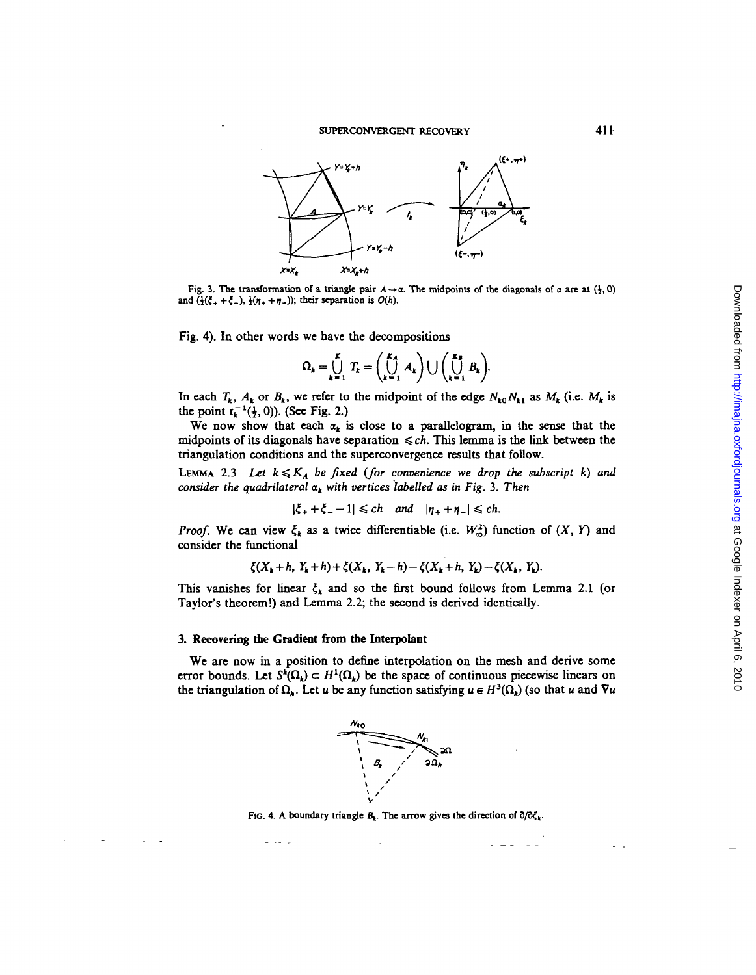

Fig. 3. The transformation of a triangle pair  $A \rightarrow \alpha$ . The midpoints of the diagonals of  $\alpha$  are at  $(\frac{1}{2}, 0)$ and  $(\frac{1}{2}(\xi_{+} + \xi_{-}), \frac{1}{2}(\eta_{+} + \eta_{-}))$ ; their separation is  $O(h)$ .

Fig. 4). In other words we have the decompositions

$$
\Omega_{k} = \bigcup_{k=1}^{K} T_{k} = \left(\bigcup_{k=1}^{K_{k}} A_{k}\right) \bigcup \left(\bigcup_{k=1}^{K_{k}} B_{k}\right).
$$

In each  $T_k$ ,  $A_k$  or  $B_k$ , we refer to the midpoint of the edge  $N_{k0}N_{k1}$  as  $M_k$  (i.e.  $M_k$  is the point  $t_k^{-1}(\frac{1}{2}, 0)$ ). (See Fig. 2.)

We now show that each  $\alpha_k$  is close to a parallelogram, in the sense that the midpoints of its diagonals have separation  $\leq c h$ . This lemma is the link between the triangulation conditions and the superconvergence results that follow.

LEMMA 2.3 Let  $k \leqslant K_A$  be fixed (for convenience we drop the subscript k) and *consider the quadrilateral*  $\alpha_k$  *with vertices labelled as in Fig.* 3. Then

$$
|\xi_+ + \xi_- - 1| \leq c h \quad \text{and} \quad |\eta_+ + \eta_-| \leq c h.
$$

*Proof.* We can view  $\xi_k$  as a twice differentiable (i.e.  $W^2_{\infty}$ ) function of  $(X, Y)$  and consider the functional

$$
\xi(X_k+h, Y_k+h)+\xi(X_k, Y_k-h)-\xi(X_k+h, Y_k)-\xi(X_k, Y_k).
$$

This vanishes for linear  $\xi_k$  and so the first bound follows from Lemma 2.1 (or Taylor's theorem!) and Lemma 2.2; the second is derived identically.

#### **3. Recovering the Gradient from the Interpolant**

**We** are now in a position to define interpolation on the mesh and derive some error bounds. Let  $S^k(\Omega) \subset H^1(\Omega)$  be the space of continuous piecewise linears on the triangulation of  $\Omega_h$ . Let u be any function satisfying  $u \in H^3(\Omega_h)$  (so that u and Vu



FIG. 4. A boundary triangle  $B_k$ . The arrow gives the direction of  $\partial/\partial \xi_k$ .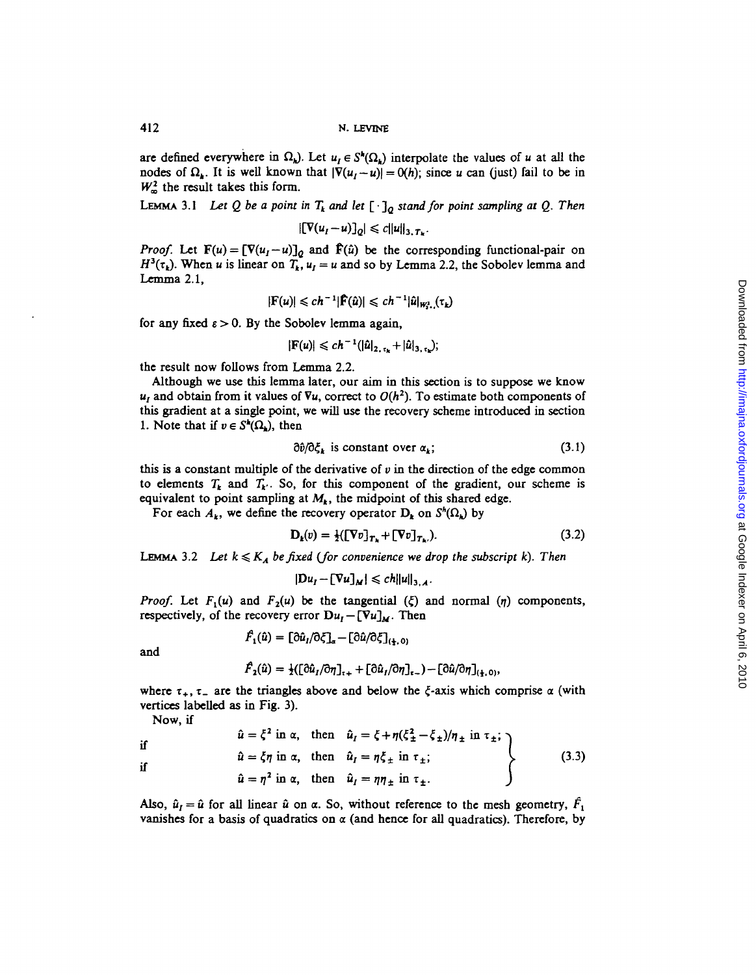are defined everywhere in  $\Omega_{k}$ ). Let  $u_{i} \in S^{k}(\Omega_{k})$  interpolate the values of *u* at all the nodes of  $\Omega_k$ . It is well known that  $|\nabla(u_i - u)| = O(h)$ ; since u can (just) fail to be in  $W_{\infty}^2$  the result takes this form.

**LEMMA** 3.1 Let Q be a point in  $T_k$  and let  $[\cdot]_Q$  stand for point sampling at Q. Then

$$
|\left[\nabla(u_I-u)\right]_Q|\leq c||u||_{3,T_k}.
$$

*Proof.* Let  $F(u) = [V(u_1 - u)]_Q$  and  $\hat{F}(\hat{u})$  be the corresponding functional-pair on  $H^3(\tau_k)$ . When u is linear on  $T_k$ ,  $u_l = u$  and so by Lemma 2.2, the Sobolev lemma and Lemm a 2.1 ,

$$
|F(u)| \leq c h^{-1} |\hat{F}(\hat{u})| \leq c h^{-1} |\hat{u}|_{W^2_{t+}}(\tau_k)
$$

for any fixed  $\varepsilon > 0$ . By the Sobolev lemma again,

$$
|\mathbf{F}(u)| \leq c h^{-1} (|\hat{u}|_{2, \tau_{k}} + |\hat{u}|_{3, \tau_{k}});
$$

th e resul t no w follow s fro m Lemm a 2.2 .

Although we use this lemma later, our aim in this section is to suppose we know  $u_I$  and obtain from it values of  $\nabla u$ , correct to  $O(h^2)$ . To estimate both components of this gradient at a single point, we will use the recovery scheme introduced in section 1. Note that if  $v \in S^k(\Omega_k)$ , then

$$
\partial \hat{v}/\partial \xi_k \text{ is constant over } \alpha_k; \tag{3.1}
$$

this is a constant multiple of the derivative of  $v$  in the direction of the edge common to elements  $T_k$  and  $T_{k'}$ . So, for this component of the gradient, our scheme is equivalent to point sampling at  $M_k$ , the midpoint of this shared edge.

For each  $A_k$ , we define the recovery operator  $D_k$  on  $S^h(\Omega_k)$  by

$$
\mathbf{D}_{\mathbf{k}}(v) = \frac{1}{2} ([\nabla v]_{T_{\mathbf{k}}} + [\nabla v]_{T_{\mathbf{k}}}). \tag{3.2}
$$

**LEMMA** 3.2 Let  $k \leq K_A$  be fixed (for convenience we drop the subscript k). Then

$$
|\mathbf{D} u_I - [\nabla u]_M| \leq c h ||u||_{3,A}.
$$

*Proof.* Let  $F_1(u)$  and  $F_2(u)$  be the tangential  $(\xi)$  and normal  $(\eta)$  components, respectively, of the recovery error  $Du_I - [\nabla u]_M$ . Then

$$
\hat{F}_1(\hat{u}) = [\partial \hat{u}_I/\partial \xi]_{\alpha} - [\partial \hat{u}/\partial \xi]_{(\frac{1}{2},0)}
$$

an d

$$
\hat{F}_2(\hat{u}) = \frac{1}{2} \left( \left[ \partial \hat{u}_I / \partial \eta \right]_{\tau+} + \left[ \partial \hat{u}_I / \partial \eta \right]_{\tau-} \right) - \left[ \partial \hat{u} / \partial \eta \right]_{(+,0)},
$$

where  $\tau_+$ ,  $\tau_-$  are the triangles above and below the  $\xi$ -axis which comprise  $\alpha$  (with vertices labelled as in Fig. 3).

Now , if

if 
$$
\hat{u} = \xi^2
$$
 in  $\alpha$ , then  $\hat{u}_I = \xi + \eta(\xi_{\pm}^2 - \xi_{\pm})/\eta_{\pm}$  in  $\tau_{\pm}$ ;  
\nif  $\hat{u} = \xi \eta$  in  $\alpha$ , then  $\hat{u}_I = \eta \xi_{\pm}$  in  $\tau_{\pm}$ ;  
\n $\hat{u} = \eta^2$  in  $\alpha$ , then  $\hat{u}_I = \eta \eta_{\pm}$  in  $\tau_{\pm}$ . (3.3)

Also,  $\hat{u}_I = \hat{u}$  for all linear  $\hat{u}$  on  $\alpha$ . So, without reference to the mesh geometry,  $\hat{F}_1$ vanishes for a basis of quadratics on  $\alpha$  (and hence for all quadratics). Therefore, by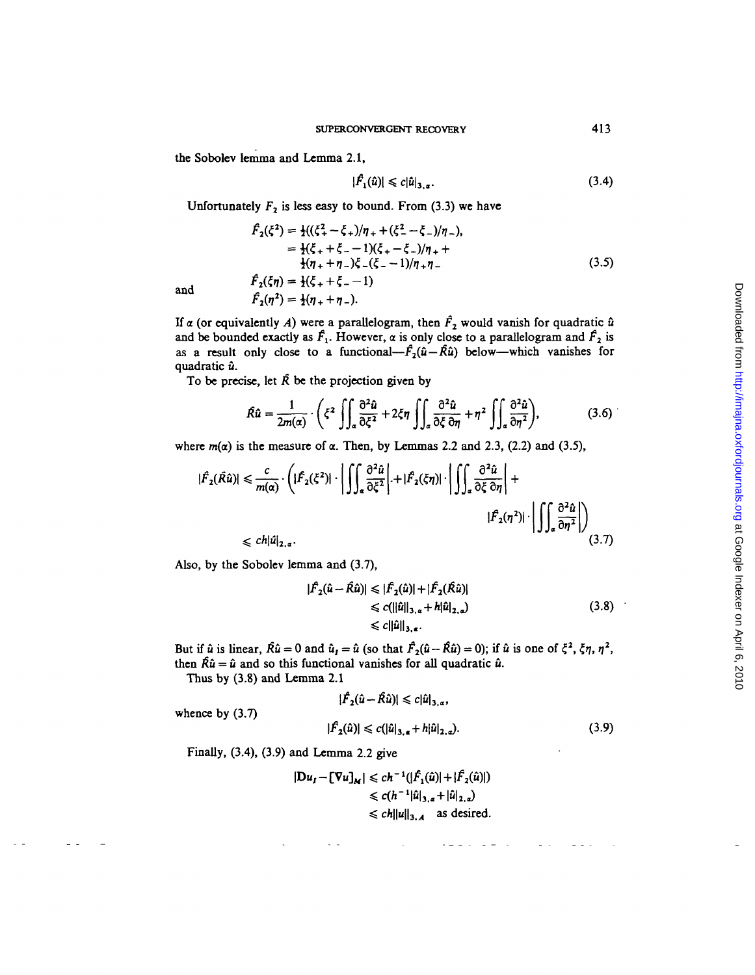the Sobolev lemma and Lemma 2.1,

$$
|\hat{F}_1(\hat{u})| \leqslant c|\hat{u}|_{3,\alpha}.\tag{3.4}
$$

Unfortunately  $F_2$  is less easy to bound. From (3.3) we have

$$
\hat{F}_2(\xi^2) = \frac{1}{2}((\xi^2 - \xi +)/\eta + (\xi^2 - \xi -)/\eta -),
$$
\n
$$
= \frac{1}{2}(\xi + \xi - 1)(\xi + \xi - 1)/\eta + 1 + \frac{1}{2}(\eta + \eta - \xi - (\xi - 1)/\eta + \eta - \xi - (\xi - 1)/\eta + \eta - \xi - (\xi - 1)/\eta + \eta - \xi - (\xi - 1)/\eta + \eta - \xi - (\xi - 1)/\eta + \eta - \xi - (\xi - 1)/\eta + \eta - \xi - (\xi - 1)/\eta + \eta - \xi - (\xi - 1)/\eta + \eta - \xi - (\xi - 1)/\eta + \eta - \xi - (\xi - 1)/\eta + \eta - \xi - (\xi - 1)/\eta + \eta - \xi - (\xi - 1)/\eta + \eta - \xi - (\xi - 1)/\eta + \eta - (\xi - 1)/\eta + \eta - (\xi - 1)/\eta + \eta - (\xi - 1)/\eta + \eta - (\xi - 1)/\eta + \eta - (\xi - 1)/\eta + \eta - (\xi - 1)/\eta + \eta - (\xi - 1)/\eta + \eta - (\xi - 1)/\eta + \eta - (\xi - 1)/\eta + \eta - (\xi - 1)/\eta + \eta - (\xi - 1)/\eta + \eta - (\xi - 1)/\eta + \eta - (\xi - 1)/\eta + \eta - (\xi - 1)/\eta + \eta - (\xi - 1)/\eta + \eta - (\xi - 1)/\eta + \eta - (\xi - 1)/\eta + \eta - (\xi - 1)/\eta + \eta - (\xi - 1)/\eta + \eta - (\xi - 1)/\eta + \eta - (\xi - 1)/\eta + \eta - (\xi - 1)/\eta + \eta - (\xi - 1)/\eta + \eta - (\xi - 1)/\eta + \eta - (\xi - 1)/\eta + \eta - (\xi - 1)/\eta + \eta - (\xi - 1)/\eta + \eta - (\xi - 1)/\eta + \eta - (\xi - 1)/\eta + \eta - (\xi - 1)/\eta + \eta - (\xi - 1)/\eta + \eta - (\xi - 1)/\eta + \eta - (\xi - 1)/\eta + \eta - (\xi - 1)/\eta + \eta - (\xi - 1)/\eta + \eta - (\xi - 1)/\eta + \eta - (\xi - 1)/\eta + \eta - (\xi - 1)/\eta + \eta - (\xi - 1)/\eta +
$$

and

If a (or equivalently *A)* were a parallelogram, then *P2* would vanish for quadratic *u* and be bounded exactly as  $F_1$ . However,  $\alpha$  is only close to a parallelogram and  $F_2$  is as a result only close to a functional— $f_2(\hat{u}-\hat{R}\hat{u})$  below—which vanishes for quadratic  $\hat{u}$ .

To be precise, let  $\hat{R}$  be the projection given by

$$
\hat{R}\hat{u} = \frac{1}{2m(\alpha)} \cdot \left(\xi^2 \iint_{\alpha} \frac{\partial^2 \hat{u}}{\partial \xi^2} + 2\xi \eta \iint_{\alpha} \frac{\partial^2 \hat{u}}{\partial \xi \partial \eta} + \eta^2 \iint_{\alpha} \frac{\partial^2 \hat{u}}{\partial \eta^2} \right),
$$
(3.6)

where  $m(\alpha)$  is the measure of  $\alpha$ . Then, by Lemmas 2.2 and 2.3, (2.2) and (3.5),

$$
|F_2(\hat{R}\hat{u})| \leq \frac{c}{m(\alpha)} \cdot \left( |F_2(\xi^2)| \cdot \left| \iiint_{\alpha} \frac{\partial^2 \hat{u}}{\partial \xi^2} \right| + |F_2(\xi \eta)| \cdot \left| \iiint_{\alpha} \frac{\partial^2 \hat{u}}{\partial \xi \partial \eta} \right| + \left| F_2(\eta^2)| \cdot \left| \iiint_{\alpha} \frac{\partial^2 \hat{u}}{\partial \eta^2} \right| \right)
$$
  
  $\leq c h |\hat{u}|_{2,\alpha}.$  (3.7)

Also, by the Sobolev lemma and (3.7),

$$
|\hat{F}_2(\hat{u} - \hat{R}\hat{u})| \le |\hat{F}_2(\hat{u})| + |\hat{F}_2(\hat{R}\hat{u})|
$$
  
\n
$$
\le c(||\hat{u}||_{3,\alpha} + h|\hat{u}|_{2,\alpha})
$$
  
\n
$$
\le c||\hat{u}||_{3,\alpha}.
$$
\n(3.8)

But if  $\hat{u}$  is linear,  $\hat{R}\hat{u} = 0$  and  $\hat{u}_I = \hat{u}$  (so that  $\hat{F}_2(\hat{u} - \hat{R}\hat{u}) = 0$ ); if  $\hat{u}$  is one of  $\xi^2$ ,  $\xi \eta$ ,  $\eta^2$ , then  $\hat{R} \hat{u} = \hat{u}$  and so this functional vanishes for all quadratic  $\hat{u}$ .

Thus by (3.8) and Lemma 2.1

whence by (3.7)

$$
|\hat{F}_2(\hat{u} - \hat{R}\hat{u})| \leq c|\hat{u}|_{3,\alpha},
$$
  

$$
|\hat{F}_2(\hat{u})| \leq c(|\hat{u}|_{3,\alpha} + h|\hat{u}|_{2,\alpha}).
$$
 (3.9)

Finally, (3.4), (3.9) and Lemma 2.2 give

$$
|Du_I - [\nabla u]_M| \le ch^{-1}(|\hat{F}_1(\hat{u})| + |\hat{F}_2(\hat{u})|)
$$
  
\n
$$
\le ch^{-1}|\hat{u}|_{3,a} + |\hat{u}|_{2,a}
$$
  
\n
$$
\le ch||u||_{3,A} \text{ as desired.}
$$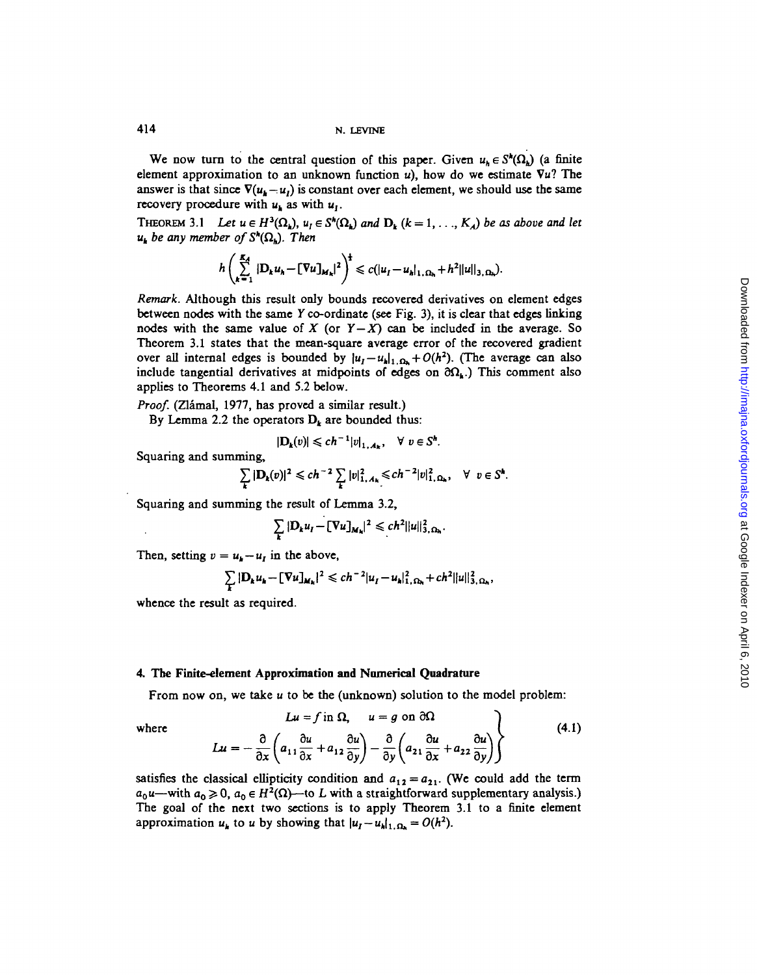We now turn to the central question of this paper. Given  $u_h \in S^{\lambda}(\Omega_h)$  (a finite element approximation to an unknown function  $u$ ), how do we estimate  $\nabla u$ ? The answer is that since  $\nabla(u_k - u_l)$  is constant over each element, we should use the same recovery procedure with  $u_k$  as with  $u_l$ .

THEOREM 3.1 Let  $u \in H^3(\Omega_k)$ ,  $u_I \in S^h(\Omega_k)$  and  $D_k$   $(k = 1, ..., K_A)$  be as above and let *u*<sub>*k*</sub> *be any member of*  $S^k(\Omega_h)$ *. Then* 

$$
h\left(\sum_{k=1}^K |D_k u_h - [\nabla u]_{M_k}|^2\right)^{\frac{1}{2}} \leqslant c(|u_I - u_h|_{1,\Omega_h} + h^2||u||_{3,\Omega_h}).
$$

Remark. Although this result only bounds recovered derivatives on element edges between nodes with the same Y co-ordinate (see Fig. 3), it is clear that edges linking nodes with the same value of  $X$  (or  $Y-X$ ) can be included in the average. So Theorem 3.1 states that the mean-square average error of the recovered gradient over all internal edges is bounded by  $|u_1 - u_{\bf k}|_{1,\Omega_{\bf k}} + O(h^2)$ . (The average can also include tangential derivatives at midpoints of edges on  $\partial\Omega_k$ .) This comment also applies to Theorems 4.1 and 5.2 below.

Proof. (Zlámal, 1977, has proved a similar result.)

By Lemma 2.2 the operators  $D_k$  are bounded thus:

$$
|\mathbf{D}_{\mathbf{k}}(v)| \leqslant ch^{-1}|v|_{1,A_{\mathbf{k}}}, \quad \forall v \in S^{\mathbf{k}}.
$$

Squarin g an d summing ,

$$
\sum_{k} |D_k(v)|^2 \leq c h^{-2} \sum_{k} |v|_{1, A_k}^2 \leq c h^{-2} |v|_{1, \Omega_k}^2, \quad \forall \ v \in S^h.
$$

Squarin g an d summin g th e resul t of Lemm a 3.2 ,

$$
\sum_{k}|\mathbf{D}_{k}u_{I}-[\nabla u]_{M_{k}}|^{2}\leqslant ch^{2}||u||_{3,\Omega_{h}}^{2}.
$$

Then, setting  $v = u_k - u_l$  in the above,

$$
\sum_{k} |D_{k} u_{k} - [\nabla u]_{M_{k}}|^{2} \leq c h^{-2} |u_{I} - u_{h}|_{1,\Omega_{h}}^{2} + ch^{2} ||u||_{3,\Omega_{h}}^{2},
$$

whence the result as required.

# 4 . Th e Finite-elemen t Approximatio n an d Numerica l Quadratur e

From now on, we take *u* to be the (unknown) solution to the model problem:

where  
\n
$$
Lu = f \text{ in } \Omega, \quad u = g \text{ on } \partial \Omega
$$
\n
$$
Lu = -\frac{\partial}{\partial x} \left( a_{11} \frac{\partial u}{\partial x} + a_{12} \frac{\partial u}{\partial y} \right) - \frac{\partial}{\partial y} \left( a_{21} \frac{\partial u}{\partial x} + a_{22} \frac{\partial u}{\partial y} \right)
$$
\n(4.1)

satisfies the classical ellipticity condition and  $a_{12} = a_{21}$ . (We could add the term  $a_0 u$ —with  $a_0 \ge 0$ ,  $a_0 \in H^2(\Omega)$ —to L with a straightforward supplementary analysis.) The goal of the next two sections is to apply Theorem 3.1 to a finite element approximation  $u_k$  to *u* by showing that  $|u_l - u_k|_{1, \Omega_k} = O(h^2)$ .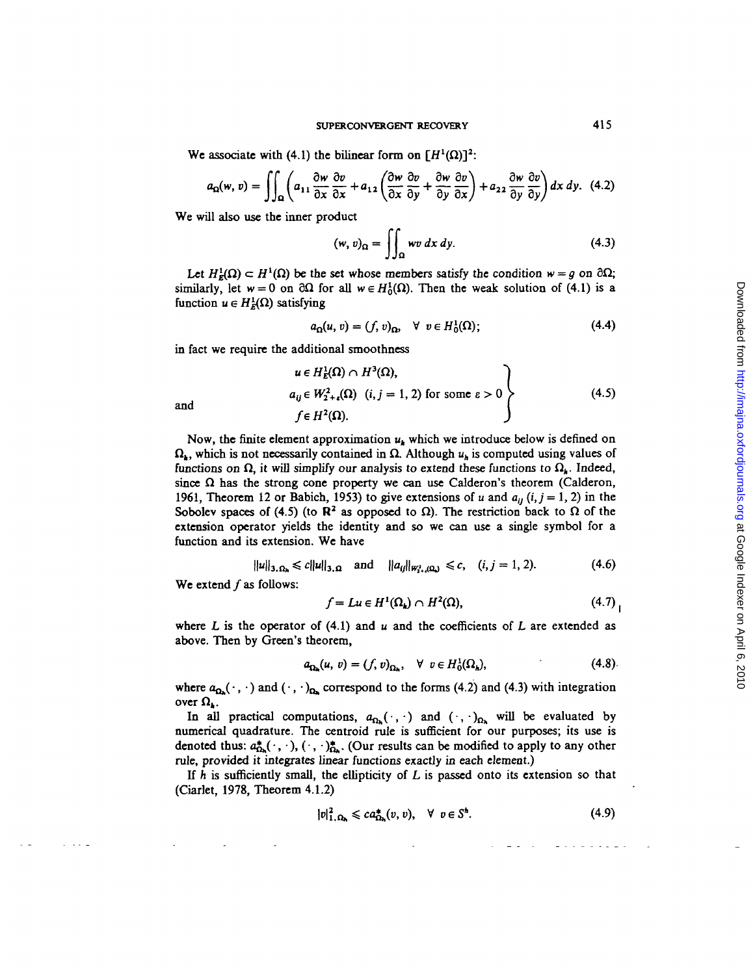We associate with (4.1) the bilinear form on [

$$
a_{\Omega}(w, v) = \iint_{\Omega} \left( a_{11} \frac{\partial w}{\partial x} \frac{\partial v}{\partial x} + a_{12} \left( \frac{\partial w}{\partial x} \frac{\partial v}{\partial y} + \frac{\partial w}{\partial y} \frac{\partial v}{\partial x} \right) + a_{22} \frac{\partial w}{\partial y} \frac{\partial v}{\partial y} \right) dx \, dy. \tag{4.2}
$$

We will also use the inner product

$$
(\mathbf{w}, v)_{\Omega} = \iint_{\Omega} wv \, dx \, dy. \tag{4.3}
$$

**5**

Let  $H^1_E(\Omega) \subset H^1(\Omega)$  be the set whose members satisfy the condition  $w = g$  on  $\partial$ similarly, let  $w = 0$  on  $\partial \Omega$  for all  $w \in H_0^1(\Omega)$ . Then the weak solution of (4.1) is a function  $u \in H^1_E(\Omega)$  satisfying

$$
a_{\Omega}(u, v) = (f, v)_{\Omega}, \quad \forall \ v \in H_0^1(\Omega); \tag{4.4}
$$

in fact we require the additional smoothness

$$
u \in H_{\mathcal{E}}^{1}(\Omega) \cap H^{3}(\Omega),
$$
  
\n
$$
a_{ij} \in W_{2+\epsilon}^{2}(\Omega) \quad (i, j = 1, 2) \text{ for some } \epsilon > 0
$$
  
\n
$$
f \in H^{2}(\Omega).
$$
\n(4.5)

an d

Now, the finite element approximation  $u_k$  which we introduce below is defined on  $\Omega_k$ , which is not necessarily contained in  $\Omega$ . Although  $u_k$  is computed using values of functions on  $\Omega$ , it will simplify our analysis to extend these functions to  $\Omega_{\mathbf{k}}$ . Indeed, since  $\Omega$  has the strong cone property we can use Calderon's theorem (Calderon, 1961, Theorem 12 or Babich, 1953) to give extensions of *u* and  $a_{ij}$  (*i*, *j* = 1, 2) in the Sobolev spaces of (4.5) (to  $\mathbb{R}^2$  as opposed to  $\Omega$ ). The restriction back to  $\Omega$  of the extension operator yields the identity and so we can use a single symbol for a function and its extension. We have

$$
||u||_{3,\Omega_h} \le c||u||_{3,\Omega} \quad \text{and} \quad ||a_{ij}||_{W^2_{2+\delta}(\Omega_h)} \le c, \quad (i,j=1,2). \tag{4.6}
$$

We extend  $f$  as follows:

$$
f = Lu \in H^{1}(\Omega_{k}) \cap H^{2}(\Omega), \qquad (4.7)
$$

where  $L$  is the operator of  $(4.1)$  and  $u$  and the coefficients of  $L$  are extended as above . The n b y Green' s theorem ,

$$
a_{\Omega_h}(u, v) = (f, v)_{\Omega_h}, \quad \forall \ v \in H_0^1(\Omega_h), \tag{4.8}
$$

where  $a_{\Omega_{k}}(\cdot, \cdot)$  and  $(\cdot, \cdot)_{\Omega_{k}}$  correspond to the forms (4.2) and (4.3) with integration over Ω<sub>k</sub>.

In all practical computations,  $a_{\Omega_h}(\cdot, \cdot)$  and  $(\cdot, \cdot)_{\Omega_h}$  will be evaluated by numerical quadrature. The centroid rule is sufficient for our purposes; its use is denoted thus:  $a_{\Omega_h}^*(\cdot, \cdot), (\cdot, \cdot)_{\Omega_h}^*$ . (Our results can be modified to apply to any other rule, provided it integrates linear functions exactly in each element.)

If  $h$  is sufficiently small, the ellipticity of  $L$  is passed onto its extension so that (Ciarlet , 1978 , Theore m 4.1.2 )

$$
|v|_{1,\Omega_h}^2 \leqslant ca_{\Omega_h}^*(v,v), \quad \forall \ v \in S^h. \tag{4.9}
$$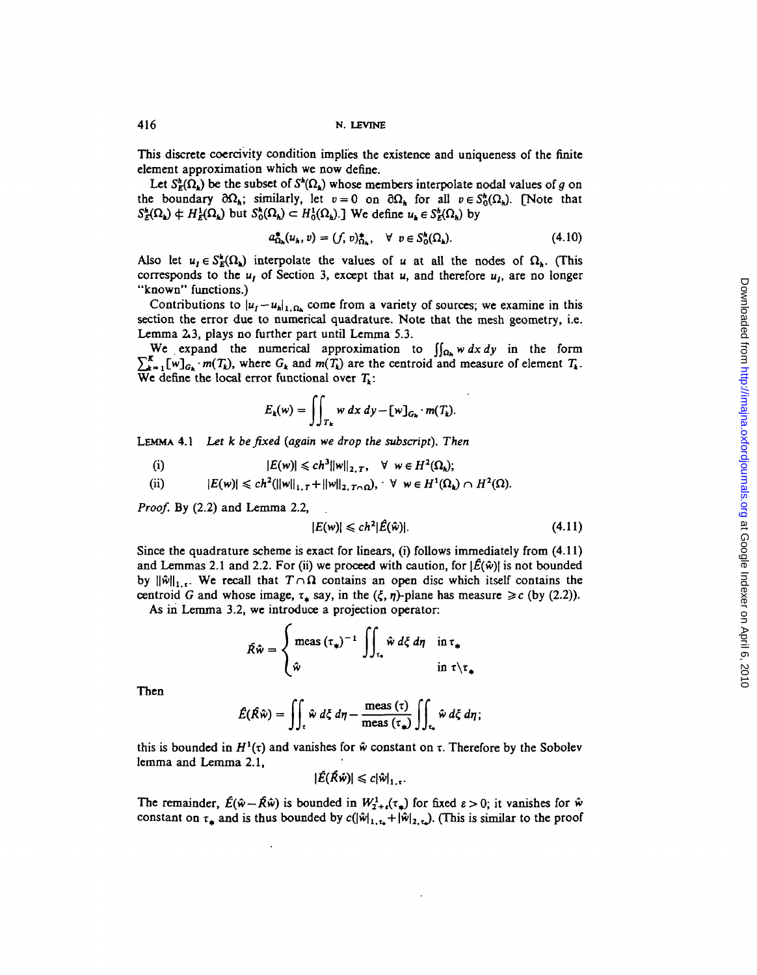This discrete coercivity condition implies the existence and uniqueness of the finite elemen t approximatio n whic h we no w define .

Let  $S_E^h(\Omega_k)$  be the subset of  $S^h(\Omega_k)$  whose members interpolate nodal values of g on the boundary  $\partial\Omega_h$ ; similarly, let  $v = 0$  on  $\partial\Omega_h$  for all  $v \in S_0^h(\Omega_h)$ . [Note that but  $S_0^h(\Omega_h) \subset H_0^1(\Omega_h)$ .] We define  $u_h \in S_E^h(\Omega_h)$  by

$$
a_{\Omega_h}^*(u_h, v) = (f, v)_{\Omega_h}^*, \quad \forall \ v \in S_0^h(\Omega_h). \tag{4.10}
$$

Also let  $u_I \in S^k_E(\Omega)$  interpolate the values of u at all the nodes of  $\Omega_h$ . (This corresponds to the  $u_i$  of Section 3, except that  $u_i$ , and therefore  $u_i$ , are no longer "known" functions.)

Contributions to  $|u_I - u_h|_{1,\Omega_h}$  come from a variety of sources; we examine in this section the error due to numerical quadrature. Note that the mesh geometry, i.e. Lemma 2.3, plays no further part until Lemma 5.3.

We expand the numerical approximation to  $\iint_{\Omega_h} w \, dx \, dy$  in the form  $\sum^{\kappa}_{k=1} [w]_{G_k} \cdot m(T_k)$ , where  $G_k$  and  $m(T_k)$  are the centroid and measure of element  $T_k$ . W e defin e th e loca l erro r functional ove r *T<sup>k</sup> :*

$$
E_k(w) = \iint_{T_k} w \, dx \, dy - [w]_{G_k} \cdot m(T_k).
$$

LEMMA 4. 1 *Let k be fixed {again we drop the subscript). Then*

(i  $|E(w)| \le c h^3 ||w||_{2,T}, \quad \forall \ w \in H^2(\Omega_h);$ 

$$
\text{(ii)} \qquad |E(w)| \leqslant ch^2(||w||_{1,T} + ||w||_{2,T\cap\Omega}), \quad \forall \ w \in H^1(\Omega_k) \cap H^2(\Omega).
$$

Proof. By (2.2) and Lemma 2.2,

$$
|E(w)| \leq c h^2 |\hat{E}(\hat{w})|.
$$
 (4.11)

Since the quadrature scheme is exact for linears, (i) follows immediately from (4.11) and Lemmas 2.1 and 2.2. For (ii) we proceed with caution, for  $|\hat{E}(\hat{w})|$  is not bounded by  $\|\hat{w}\|_{1,t}$ . We recall that  $T \cap \Omega$  contains an open disc which itself contains the centroid G and whose image,  $\tau_*$  say, in the  $(\xi, \eta)$ -plane has measure  $\geq c$  (by (2.2)).

As in Lemma 3.2, we introduce a projection operator:

$$
\hat{R}\hat{w} = \begin{cases} \text{meas } (\tau_*)^{-1} \int_{\tau_*} \hat{w} \, d\zeta \, d\eta & \text{in } \tau_* \\ \hat{w} & \text{in } \tau \setminus \tau_* \end{cases}
$$

The n

$$
\hat{E}(\hat{R}\hat{w}) = \iint_{\tau} \hat{w} d\zeta d\eta - \frac{\text{meas}(\tau)}{\text{meas}(\tau_*)} \iint_{\tau_*} \hat{w} d\zeta d\eta;
$$

this is bounded in  $H^1(\tau)$  and vanishes for  $\hat{w}$  constant on  $\tau$ . Therefore by the Sobolev lemm a an d Lemm a 2.1 ,

$$
|\hat{E}(\hat{R}\hat{w})| \leqslant c|\hat{w}|_{1,\tau}.
$$

The remainder,  $\hat{E}(\hat{w} - \hat{R}\hat{w})$  is bounded in  $W^1_{2+\epsilon}(\tau_*)$  for fixed  $\epsilon > 0$ ; it vanishes for  $\hat{w}$ constant on  $\tau_*$  and is thus bounded by  $c(|\hat{w}|_{1,\tau_*} + |\hat{w}|_{2,\tau_*})$ . (This is similar to the proof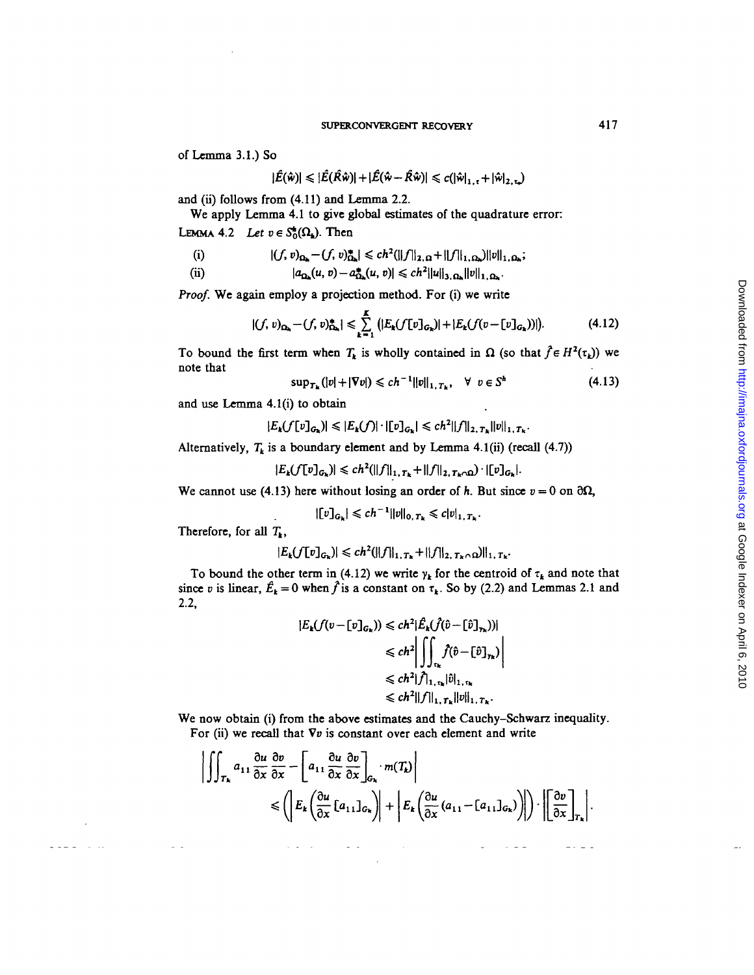of Lemma 3.1.) So

$$
|\hat{E}(\hat{\mathbf{w}})| \leqslant |\hat{E}(\hat{R}\hat{\mathbf{w}})| + |\hat{E}(\hat{\mathbf{w}} - \hat{R}\hat{\mathbf{w}})| \leqslant c(|\hat{\mathbf{w}}|_{1,\tau} + |\hat{\mathbf{w}}|_{2,\tau})
$$

and (ii) follows from (4.11) and Lemma 2.2.

We apply Lemma 4.1 to give global estimates of the quadrature error LEMMA 4.2 Let  $v \in S^{\mathbf{k}}_0(\Omega_{\mathbf{k}})$ . Then

(i) 
$$
|(f, v)_{\Omega_n} - (f, v)_{\Omega_n}^*| \le c h^2(||f||_{2, \Omega} + ||f||_{1, \Omega_n}) ||v||_{1, \Omega_n};
$$

(ii)  $|a_{\Omega_h}(u, v)-a_{\Omega_h}^*(u, v)| \leqslant ch^2 ||u||_{3, \Omega_h} ||v||_{1, \Omega_h}.$ 

*Proof.* We again employ a projection method. For (i) we write

$$
|(f, v)_{\Omega_k} - (f, v)_{\Omega_k}^*| \leq \sum_{k=1}^K (|E_k(f[v]_{G_k})| + |E_k(f(v-[v]_{G_k}))|).
$$
 (4.12)

To bound the first term when  $T_k$  is wholly contained in  $\Omega$  (so that  $\hat{f} \in H^2(\tau_k)$ ) we note that

$$
\sup_{\mathcal{T}_{\mathbf{k}} } (|v| + |\nabla v|) \leq c h^{-1} ||v||_{1, T_{\mathbf{k}}}, \quad \forall \ v \in S^{\mathbf{k}} \tag{4.13}
$$

and use Lemma 4.1(i) to obtain

$$
|E_{k}(f[v]_{G_{k}})| \leq |E_{k}(f)| \cdot |[v]_{G_{k}}| \leq c h^{2}||f||_{2, T_{k}}||v||_{1, T_{k}}
$$

Alternatively,  $T_k$  is a boundary element and by Lemma 4.1(ii) (recall  $(4.7)$ )

$$
|E_{k}(f[v]_{G_{k}})| \leq c h^{2}(||f||_{1, T_{k}} + ||f||_{2, T_{k} \cap \Omega}) \cdot |[v]_{G_{k}}|.
$$

We cannot use (4.13) here without losing an order of h. But since  $v = 0$  on  $\partial \Omega$ ,

 $|[v]_{G_k}| \le c h^{-1} ||v||_{0,T_k} \le c |v|_{1,T_k}$ 

Therefore, for all *Tk,*

 $\omega$  .  $\omega$ 

 $\sim$   $-$ 

$$
|E_{k}(f[v]_{G_{k}})| \leq c h^{2}(||f||_{1, T_{k}} + ||f||_{2, T_{k} \cap \Omega})||_{1, T_{k}}.
$$

To bound the other term in (4.12) we write  $\gamma_k$  for the centroid of  $\tau_k$  and note that since *v* is linear,  $\hat{E}_k = 0$  when  $\hat{f}$  is a constant on  $\tau_k$ . So by (2.2) and Lemmas 2.1 and 2.2,

$$
|E_{\mathbf{k}}(f(v - [v]_{G_{\mathbf{k}}})) \le ch^2 |\hat{E}_{\mathbf{k}}(\hat{f}(\hat{v} - [\hat{v}]_{\tau_{\mathbf{k}}}))|
$$
  
\n
$$
\le ch^2 \left| \iint_{\tau_{\mathbf{k}}} \hat{f}(\hat{v} - [\hat{v}]_{\tau_{\mathbf{k}}}) \right|
$$
  
\n
$$
\le ch^2 |\hat{f}|_{1, \tau_{\mathbf{k}}} |\hat{v}|_{1, \tau_{\mathbf{k}}}
$$
  
\n
$$
\le ch^2 |f|_{1, \tau_{\mathbf{k}}} ||v||_{1, \tau_{\mathbf{k}}}.
$$

We now obtain (i) from the above estimates and the Cauchy-Schwarz inequality. For (ii) we recall that  $\nabla v$  is constant over each element and write

$$
\left| \iint_{T_{k}} a_{11} \frac{\partial u}{\partial x} \frac{\partial v}{\partial x} - \left[ a_{11} \frac{\partial u}{\partial x} \frac{\partial v}{\partial x} \right]_{G_{k}} \cdot m(T_{k}) \right|
$$
  
 
$$
\leq \left( \left| E_{k} \left( \frac{\partial u}{\partial x} \left[ a_{11} \right]_{G_{k}} \right) \right| + \left| E_{k} \left( \frac{\partial u}{\partial x} \left[ a_{11} - \left[ a_{11} \right]_{G_{k}} \right) \right| \right) \cdot \left| \left[ \frac{\partial v}{\partial x} \right]_{T_{k}} \right|.
$$

 $\sim 10^{11}$  km

 $\sim$   $\sim$   $\sim$ 

 $\omega_{\rm{max}}$  and  $\omega_{\rm{max}}$ 

 $\mathcal{L}^{\mathcal{A}}(\mathcal{A})$  . The set of the  $\mathcal{A}^{\mathcal{A}}(\mathcal{A})$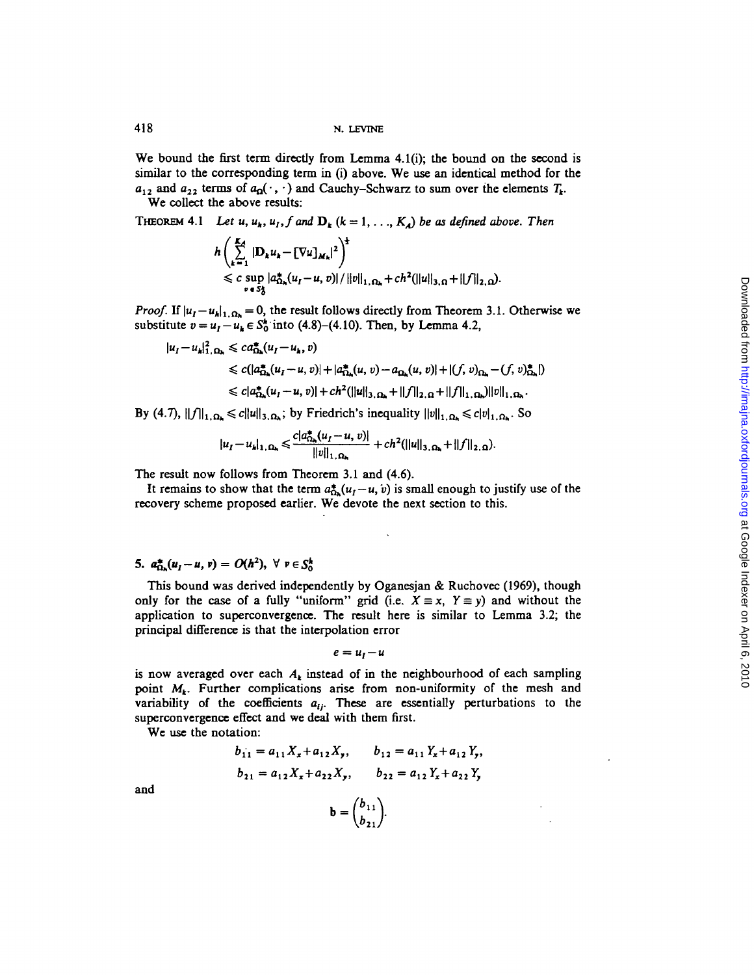**8 N . LEVINE**

We bound the first term directly from Lemma 4.1(i); the bound on the second is similar to the corresponding term in (i) above. We use an identical method for the  $a_{12}$  and  $a_{22}$  terms of  $a_{\Omega}(\cdot, \cdot)$  and Cauchy-Schwarz to sum over the elements  $T_k$ .

We collect the above results:

THEOREM 4.1 Let  $u, u_h, u_I, f$  and  $D_k$   $(k = 1, ..., K_A)$  be as defined above. Then  $h\left(\sum_{k=1}^{K_A}|\mathbf{D}_k u_k - [\nabla u]_{M_k}|^2\right)^{\dagger}$  $c \sup_{\Omega} |a_{\Omega_n}^*(u_I-u,$ 

*Proof.* If  $|u_I - u_h|_{1,\Omega_h} = 0$ , the result follows directly from Theorem 3.1. Otherwise we substitute  $v = u_I - u_k \in S_0^h$  into (4.8)–(4.10). Then, by Lemma 4.2,

$$
|u_{I} - u_{k}|_{1,\Omega_{h}}^{2} \leq c a_{\Omega_{h}}^{*}(u_{I} - u_{h}, v)
$$
  
\n
$$
\leq c(|a_{\Omega_{h}}^{*}(u_{I} - u, v)| + |a_{\Omega_{h}}^{*}(u, v) - a_{\Omega_{h}}(u, v)| + |(f, v)_{\Omega_{h}} - (f, v)_{\Omega_{h}}^{*}|)
$$
  
\n
$$
\leq c|a_{\Omega_{h}}^{*}(u_{I} - u, v)| + ch^{2}(||u||_{1,\Omega_{h}} + ||f||_{2,\Omega} + ||f||_{1,\Omega_{h}})||v||_{1,\Omega_{h}}.
$$

By (4.7),  $||f||_{1,\Omega_h} \le c||u||_{3,\Omega_h}$ ; by Friedrich's inequality  $||v||_{1,\Omega_h} \le c|v|_{1,\Omega_h}$ . So

$$
|u_I - u_k|_{1,\Omega_h} \leq \frac{c|a_{\Omega_h}^*(u_I - u, v)|}{\|v\|_{1,\Omega_h}} + ch^2(||u||_{3,\Omega_h} + ||f||_{2,\Omega}).
$$

The result now follows from Theorem 3.1 and (4.6).

It remains to show that the term  $a^*_{\Omega_h}(u_l - u, v)$  is small enough to justify use of the recovery scheme proposed earlier. We devote the next section to this.

#### **5 .**

This bound was derived independently by Oganesjan & Ruchovec (1969), though only for the case of a fully "uniform" grid (i.e.  $X \equiv x$ ,  $Y \equiv y$ ) and without the application to superconvergence. The result here is similar to Lemma 3.2; the principal difference is that the interpolation error

$$
e = u_I - u
$$

is now averaged over each  $A_k$  instead of in the neighbourhood of each sampling point M<sub>k</sub>. Further complications arise from non-uniformity of the mesh and variability of the coefficients  $a_{ij}$ . These are essentially perturbations to the superconvergence effect and we deal with them first.

We use the notation:

$$
b_{11} = a_{11}X_x + a_{12}X_y, \t b_{12} = a_{11}Y_x + a_{12}Y_y,
$$
  
\n
$$
b_{21} = a_{12}X_x + a_{22}X_y, \t b_{22} = a_{12}Y_x + a_{22}Y_y
$$
  
\n
$$
b = \begin{pmatrix} b_{11} \\ b_{21} \end{pmatrix}.
$$

an d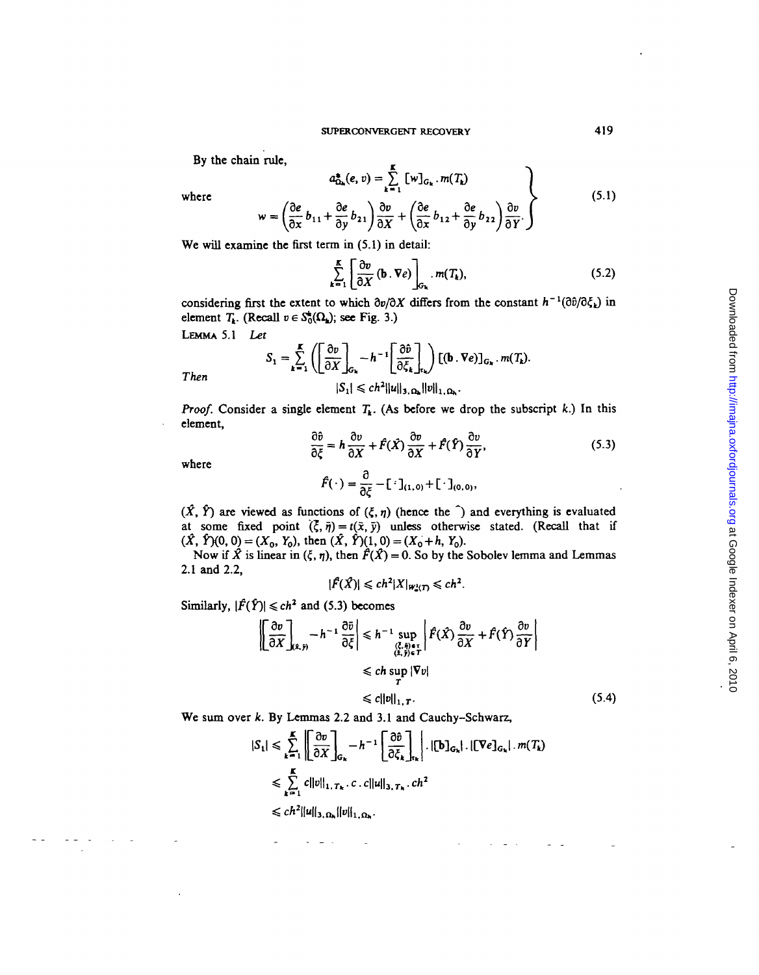By the chain rule,

W

where

$$
a_{0k}^{*}(e, v) = \sum_{k=1}^{K} [w]_{G_k} \cdot m(T_k)
$$
  
=  $\left( \frac{\partial e}{\partial x} b_{11} + \frac{\partial e}{\partial y} b_{21} \right) \frac{\partial v}{\partial X} + \left( \frac{\partial e}{\partial x} b_{12} + \frac{\partial e}{\partial y} b_{22} \right) \frac{\partial v}{\partial Y}.$  (5.1)

We will examine the first term in  $(5.1)$  in detail:

$$
\sum_{k=1}^{K} \left[ \frac{\partial v}{\partial X} \left( \mathbf{b} \cdot \nabla e \right) \right]_{G_k} . m(T_k), \tag{5.2}
$$

considering first the extent to which  $\partial v / \partial X$  differs from the constant  $h^{-1}(\partial \hat{v}/\partial \xi_k)$  in element  $T_k$ . (Recall  $v \in S_0^k(\Omega_k)$ ; see Fig. 3.)

LEMMA 5.1 *Let*

$$
S_1 = \sum_{k=1}^{K} \left( \left[ \frac{\partial v}{\partial X} \right]_{G_k} - h^{-1} \left[ \frac{\partial \hat{v}}{\partial \xi_k} \right]_{\xi_k} \right) \left[ (\mathbf{b} \cdot \nabla e) \right]_{G_k} \cdot m(T_k)
$$

$$
|S_1| \leqslant ch^2 ||u||_{1, \Omega_k} ||v||_{1, \Omega_k}.
$$

*Proof.* Consider a single element *Tk.* (As before we drop the subscript *k.)* In this element,

$$
\frac{\partial \hat{v}}{\partial \xi} = h \frac{\partial v}{\partial X} + \hat{F}(\hat{X}) \frac{\partial v}{\partial X} + \hat{F}(\hat{Y}) \frac{\partial v}{\partial Y},
$$
(5.3)

where

*Then*

$$
\hat{F}(\cdot) = \frac{\partial}{\partial \xi} - [\cdot]_{(1,0)} + [\cdot]_{(0,0)},
$$

 $(\hat{X}, \hat{Y})$  are viewed as functions of  $(\xi, \eta)$  (hence the  $\hat{Y}$ ) and everything is evaluated at some fixed point  $(\xi, \bar{\eta}) = t(\bar{x}, \bar{y})$  unless otherwise stated. (Recall that if  $(X, \hat{Y})(0, 0) = (X_0, Y_0)$ , then  $(\hat{X}, \hat{Y})(1, 0) = (X_0 + h, Y_0)$ .

Now if  $\hat{X}$  is linear in  $(\xi, \eta)$ , then  $\hat{f}(\hat{X}) = 0$ . So by the Sobolev lemma and Lemmas 2.1 and 2.2,

$$
|f(\hat{X})| \leq c h^2 |X|_{W^1_{\alpha}(\mathcal{D})} \leq c h^2.
$$

Similarly,  $|f(\hat{Y})| \le c h^2$  and (5.3) becomes

$$
\left| \frac{\partial v}{\partial X} \right|_{(x, y)} - h^{-1} \frac{\partial \bar{v}}{\partial \xi} \right| \leq h^{-1} \sup_{\substack{(x, \hat{\eta}) \in \tau \\ (x, \hat{y}) \in T \\ T}} \left| f(\hat{X}) \frac{\partial v}{\partial X} + f(\hat{Y}) \frac{\partial v}{\partial Y} \right|
$$
  

$$
\leq c h \sup_{T} |\nabla v|
$$
  

$$
\leq c ||v||_{1, T}. \tag{5.4}
$$

We sum over *k.* By Lemmas 2.2 and 3.1 and Cauchy-Schwarz,

$$
|S_1| \leq \sum_{k=1}^{K} \left\| \frac{\partial v}{\partial X} \right\|_{G_k} - h^{-1} \left[ \frac{\partial \hat{v}}{\partial \xi_k} \right]_{\tau_k} \cdot |[\mathbf{b}]_{G_k}| \cdot |[\nabla e]_{G_k}| \cdot m(T_k)
$$
  

$$
\leq \sum_{k=1}^{K} c ||v||_{1, T_k} \cdot c \cdot c ||u||_{3, T_k} \cdot ch^2
$$
  

$$
\leq ch^2 ||u||_{3, \Omega_k} ||v||_{1, \Omega_k}.
$$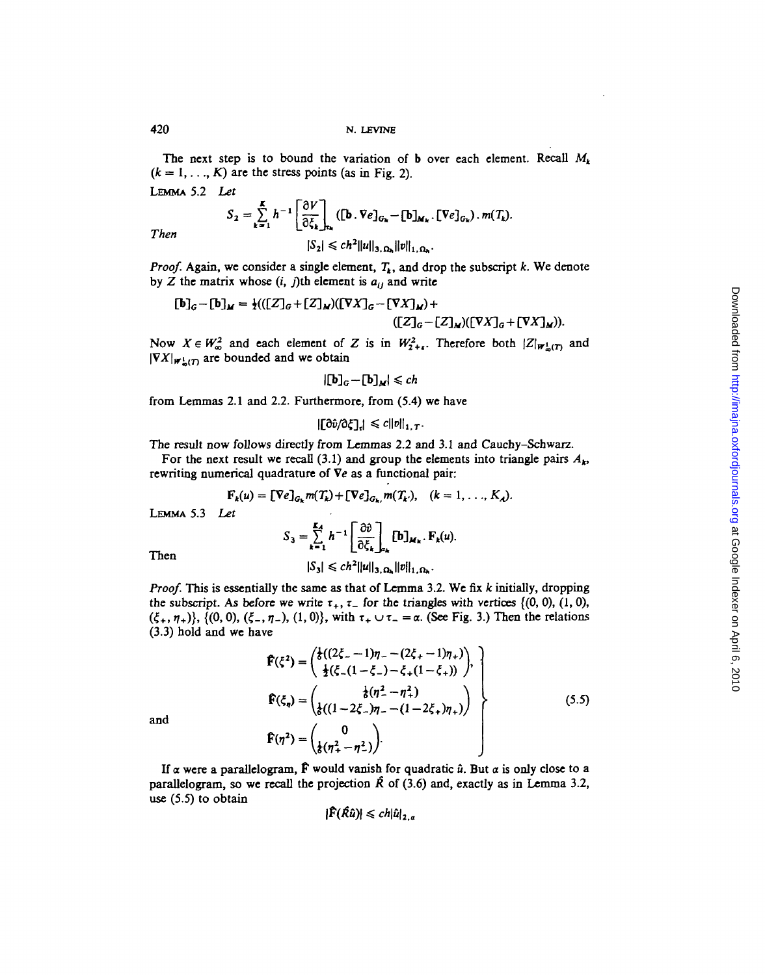The next step is to bound the variation of **b** over each element. Recall  $M_k$  $(k = 1, \ldots, K)$  are the stress points (as in Fig. 2).

LEMMA 5.2 *Let*

$$
S_2 = \sum_{k=1}^K h^{-1} \left[ \frac{\partial V}{\partial \xi_k} \right]_{r_k} ([\mathbf{b} \cdot \nabla e]_{G_k} - [\mathbf{b}]_{M_k} \cdot [\nabla e]_{G_k}) \cdot m(T_k).
$$

Then

$$
|S_2| \leqslant ch^2 ||u||_{3,\Omega_n} ||v||_{1,\Omega_n}.
$$

*Proof.* Again, we consider a single element, *Tk,* and drop the subscript *k.* We denote by Z the matrix whose  $(i, j)$ th element is  $a_{ij}$  and write

$$
\begin{aligned} [\mathbf{b}]_G - [\mathbf{b}]_M &= \frac{1}{2}(([Z]_G + [Z]_M)([\nabla X]_G - [\nabla X]_M) + \\ & ([Z]_G - [Z]_M)([\nabla X]_G + [\nabla X]_M)). \end{aligned}
$$

Now  $X \in W_\infty^2$  and each element of Z is in  $W_{2+\epsilon}^2$ . Therefore both  $|Z|_{W_\infty^1(T)}$  and  $\mathbf{u}_{\mathbf{s}(\mathcal{I})}$  are bounded and we obtain

$$
[\mathbf{b}]_G - [\mathbf{b}]_M \le ch
$$

from Lemmas 2.1 and 2.2. Furthermore, from (5.4) we have

 $\ddot{\phantom{a}}$ 

$$
|[\partial \hat{v}/\partial \xi]|_i \leqslant c\|v\|_{1,\,\mathcal T}.
$$

The result now follows directly from Lemmas 2.2 and 3.1 and Cauchy-Schwarz.

For the next result we recall (3.1) and group the elements into triangle pairs  $A_{\bf k}$ , rewriting numerical quadrature of *Se* as a functional pair:

$$
\mathbf{F}_k(u) = [\nabla e]_{G_k} m(T_k) + [\nabla e]_{G_k} m(T_{k'}), \quad (k = 1, \ldots, K_A).
$$

LEMMA 5.3 *Let*

$$
S_3 = \sum_{k=1}^{K_4} h^{-1} \left[ \frac{\partial \hat{v}}{\partial \xi_k} \right]_{\alpha_k} [b]_{M_k} \cdot F_k(u).
$$

Then *^*

$$
|S_3| \leq c h^2 ||u||_{3,\Omega_h} ||v||_{1,\Omega_h}.
$$

*Proof.* This is essentially the same as that of Lemma 3.2. We fix *k* initially, dropping the subscript. As before we write  $\tau_+$ ,  $\tau_-$  for the triangles with vertices  $\{(0, 0), (1, 0),$  $(\xi_+, \eta_+)$ ,  $\{(0, 0), (\xi_-, \eta_-), (1, 0)\}$ , with  $\tau_+ \cup \tau_- = \alpha$ . (See Fig. 3.) Then the relations (3.3) hold and we have

$$
\hat{\mathbf{F}}(\xi^2) = \begin{pmatrix} \frac{1}{6}((2\xi - 1)\eta - (2\xi + 1)\eta_+) \\ \frac{1}{2}(\xi - (1 - \xi -) - \xi_+ (1 - \xi_+)) \end{pmatrix},
$$
\n
$$
\hat{\mathbf{F}}(\xi_q) = \begin{pmatrix} \frac{1}{6}(\eta^2 - \eta^2_+) \\ \frac{1}{6}((1 - 2\xi -) \eta - (1 - 2\xi_+) \eta_+) \end{pmatrix}
$$
\n
$$
\hat{\mathbf{F}}(\eta^2) = \begin{pmatrix} 0 \\ \frac{1}{6}(\eta^2_+ - \eta^2_-) \end{pmatrix}.
$$
\n(5.5)

and

If  $\alpha$  were a parallelogram,  $\hat{F}$  would vanish for quadratic  $\hat{u}$ . But  $\alpha$  is only close to a parallelogram, so we recall the projection  $\tilde{R}$  of (3.6) and, exactly as in Lemma 3.2, use (5.5) to obtain

$$
|F(R\hat{u})| \leq c h |\hat{u}|_{2,a}
$$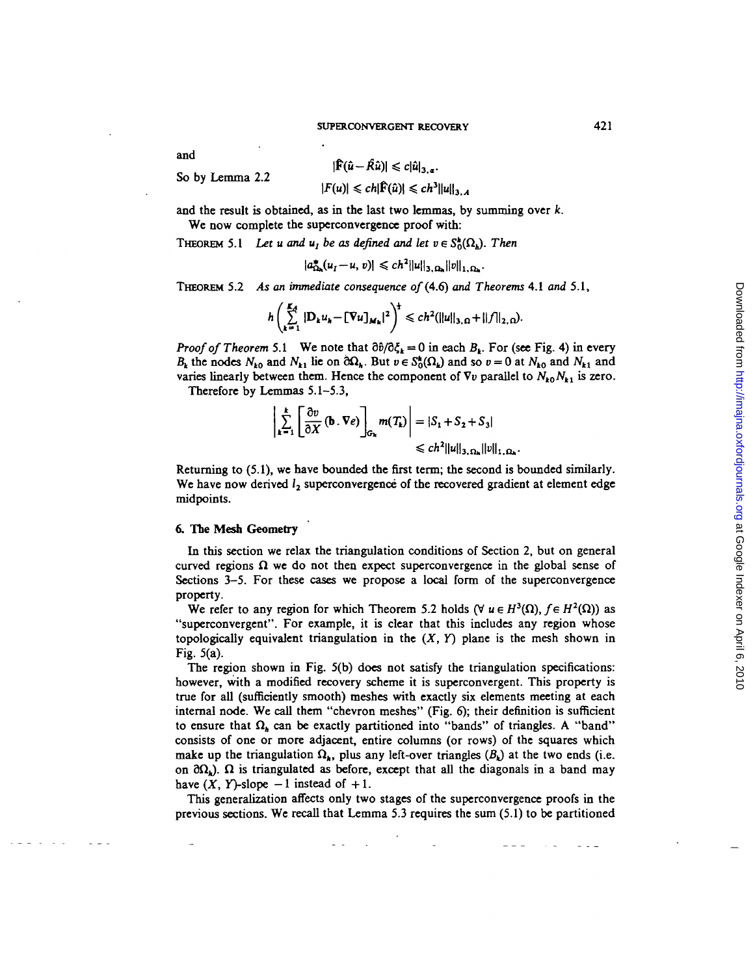and

S o by Lemm a 2. 2

$$
|\hat{\mathbf{F}}(\hat{u} - \hat{\mathbf{R}}\hat{u})| \leq c|\hat{u}|_{3,\alpha}.
$$
  

$$
|F(u)| \leq c h|\hat{\mathbf{F}}(\hat{u})| \leq c h^3 ||u||_{3,A}
$$

an d th e result i s obtained , a s i n th e las t tw o lemmas , by summin g ove r *k.* We now complete the superconvergence proof with:

**THEOREM** 5.1 Let u and  $u_I$  be as defined and let  $v \in S_0^{\mathbf{b}}(\Omega_{\mathbf{b}})$ . Then

$$
|a_{\Omega_n}^*(u_I-u, v)| \leqslant ch^2||u||_{3,\Omega_n}||v||_{1,\Omega_n}.
$$

THEOREM 5. 2 *As an immediate consequence of (4.6) and Theorems* 4. 1 *and* 5.1

$$
h\left(\sum_{k=1}^{K_A} |D_k u_k - [\nabla u]_{M_k}|^2\right)^{\frac{1}{2}} \leq c h^2(||u||_{3,\Omega} + ||f||_{2,\Omega}).
$$

*Proof of Theorem* 5.1 We note that  $\partial \theta / \partial \xi_k = 0$  in each  $B_k$ . For (see Fig. 4) in every  $B_k$  the nodes  $N_{k0}$  and  $N_{k1}$  lie on  $\partial \Omega_k$ . But  $v \in S_0^k(\Omega_k)$  and so  $v = 0$  at  $N_{k0}$  and  $N_{k1}$  and varies linearly between them. Hence the component of  $\nabla v$  parallel to  $N_{k0}N_{k1}$  is zero.

Therefore by Lemmas 5.1-5.3,

$$
\left| \sum_{k=1}^{k} \left[ \frac{\partial v}{\partial X} \left( \mathbf{b} \cdot \nabla e \right) \right]_{G_k} m(T_k) \right| = |S_1 + S_2 + S_3|
$$
  

$$
\leq c h^2 ||u||_{3, \Omega_h} ||v||_{1, \Omega_h}
$$

Returning to (5.1), we have bounded the first term; the second is bounded similarly. We have now derived  $l_2$  superconvergence of the recovered gradient at element edge midpoints .

# 6 . Th e Mes h Geometry

In this section we relax the triangulation conditions of Section 2, but on general curved regions  $\Omega$  we do not then expect superconvergence in the global sense of Sections 3-5. For these cases we propose a local form of the superconvergence property .

We refer to any region for which Theorem 5.2 holds ( $\forall$   $u \in H^3(\Omega)$ ,  $f \in H^2(\Omega)$ ) as "superconvergent". For example, it is clear that this includes any region whose topologically equivalent triangulation in the  $(X, Y)$  plane is the mesh shown in Fig. 5(a).

The region shown in Fig. 5(b) does not satisfy the triangulation specifications: however, with a modified recovery scheme it is superconvergent. This property is true for all (sufficiently smooth) meshes with exactly six elements meeting at each internal node. We call them "chevron meshes" (Fig. 6); their definition is sufficient to ensure that  $\Omega_h$  can be exactly partitioned into "bands" of triangles. A "band" consists of one or more adjacent, entire columns (or rows) of the squares which make up the triangulation  $\Omega_k$ , plus any left-over triangles  $(B_k)$  at the two ends (i.e. on  $\partial \Omega_{k}$ ).  $\Omega$  is triangulated as before, except that all the diagonals in a band may have  $(X, Y)$ -slope  $-1$  instead of  $+1$ .

This generalization affects only two stages of the superconvergence proofs in the previous sections. We recall that Lemma 5.3 requires the sum (5.1) to be partitioned

**1**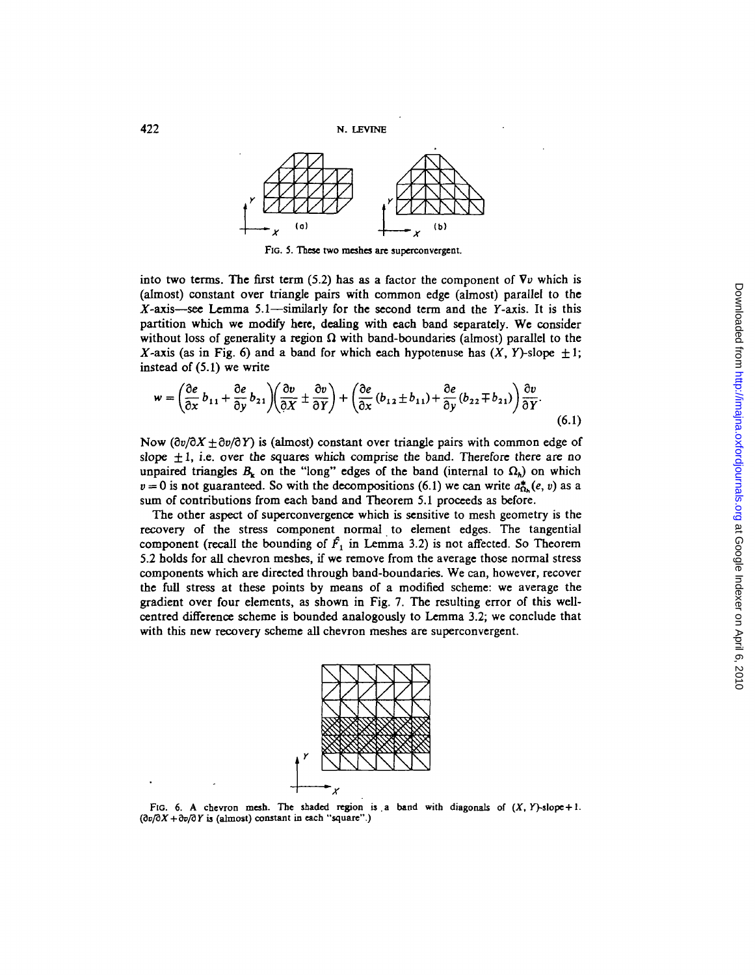422 **N. LEVTNE**



**FIG. 5. These two meshes are superconvergent.**

into two terms. The first term  $(5.2)$  has as a factor the component of  $\nabla v$  which is (almost) constant over triangle pairs with common edge (almost) parallel to the  $X$ -axis—sec Lemma 5.1—similarly for the second term and the Y-axis. It is this partition which we modify here, dealing with each band separately. We consider without loss of generality a region  $\Omega$  with band-boundaries (almost) parallel to the X-axis (as in Fig. 6) and a band for which each hypotenuse has  $(X, Y)$ -slope  $\pm 1$ ; instead of (5.1) we write

$$
w = \left(\frac{\partial e}{\partial x}b_{11} + \frac{\partial e}{\partial y}b_{21}\right)\left(\frac{\partial v}{\partial X} \pm \frac{\partial v}{\partial Y}\right) + \left(\frac{\partial e}{\partial x}(b_{12} \pm b_{11}) + \frac{\partial e}{\partial y}(b_{22} \mp b_{21})\right)\frac{\partial v}{\partial Y}.
$$
\n(6.1)

Now  $(\partial v/\partial X + \partial v/\partial Y)$  is (almost) constant over triangle pairs with common edge of slope  $\pm 1$ , i.e. over the squares which comprise the band. Therefore there are no unpaired triangles  $B_k$  on the "long" edges of the band (internal to  $\Omega_k$ ) on which  $v = 0$  is not guaranteed. So with the decompositions (6.1) we can write  $a^*_{0}$  (e, v) as a sum of contributions from each band and Theorem 5.1 proceeds as before.

The other aspect of superconvergence which is sensitive to mesh geometry is the recovery of the stress component normal to element edges. The tangential component (recall the bounding of  $\hat{F}_1$  in Lemma 3.2) is not affected. So Theorem 5.2 holds for all chevron meshes, if we remove from the average those normal stress components which are directed through band-boundaries. We can, however, recover the full stress at these points by means of a modified scheme: we average the gradient over four elements, as shown in Fig. 7. The resulting error of this wellcentred difference scheme is bounded analogously to Lemma 3.2; we conclude that with this new recovery scheme all chevron meshes are superconvergent.



FIG. 6. A chevron mesh. The shaded region is a band with diagonals of  $(X, Y)$ -slope +1. *(jdvfSX+dv/SY* **is (almost) constant in each "square".)**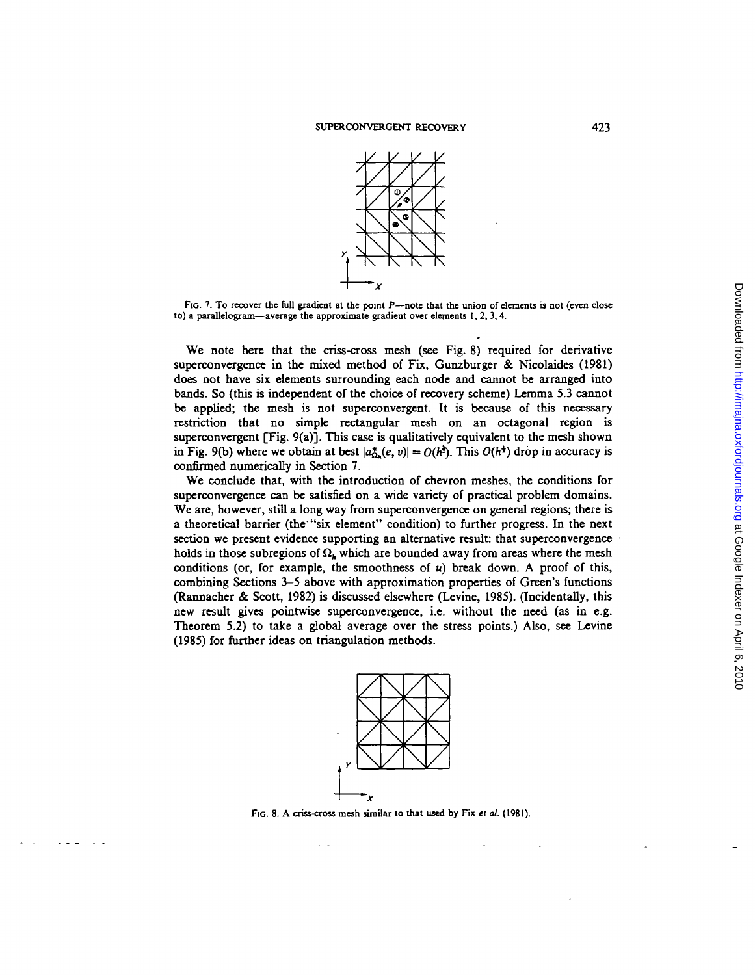

**FIG. 7. To recover the full gradient at the point** *P***—note that the union of dements is not (even dose to) a parallelogram—average the approximate gradient over dements 1, 2, 3,4.**

We note here that the criss-cross mesh (see Fig. 8) required for derivative superconvergence in the mixed method of Fix, Gunzburger & Nicolaides (1981) does not have six elements surrounding each node and cannot be arranged into bands. So (this is independent of the choice of recovery scheme) Lemma 5.3 cannot be applied; the mesh is not superconvergent. It is because of this necessary restriction that no simple rectangular mesh on an octagonal region is superconvergent  $[Fig. 9(a)]$ . This case is qualitatively equivalent to the mesh shown in Fig. 9(b) where we obtain at best  $\left| \frac{a_0}{c}(\epsilon, v) \right| = O(h^2)$ . This  $O(h^2)$  drop in accuracy is confirmed numerically in Section 7.

We conclude that, with the introduction of chevron meshes, the conditions for superconvergence can be satisfied on a wide variety of practical problem domains. We are, however, still a long way from superconvergence on general regions; there is a theoretical barrier (the "six element" condition) to further progress. In the next section we present evidence supporting an alternative result: that superconvergence holds in those subregions of  $\Omega_k$  which are bounded away from areas where the mesh conditions (or, for example, the smoothness of *u)* break down. A proof of this, combining Sections 3-5 above with approximation properties of Green's functions (Rannacher & Scott, 1982) is discussed elsewhere (Levine, 1985). (Incidentally, this new result gives pointwise superconvergence, i.e. without the need (as in e.g. Theorem 5.2) to take a global average over the stress points.) Also, see Levine (1985) for further ideas on triangulation methods.



**FIG. 8. A criss-cross mesh similar to that used by Fix** *el ai.* **(1981).**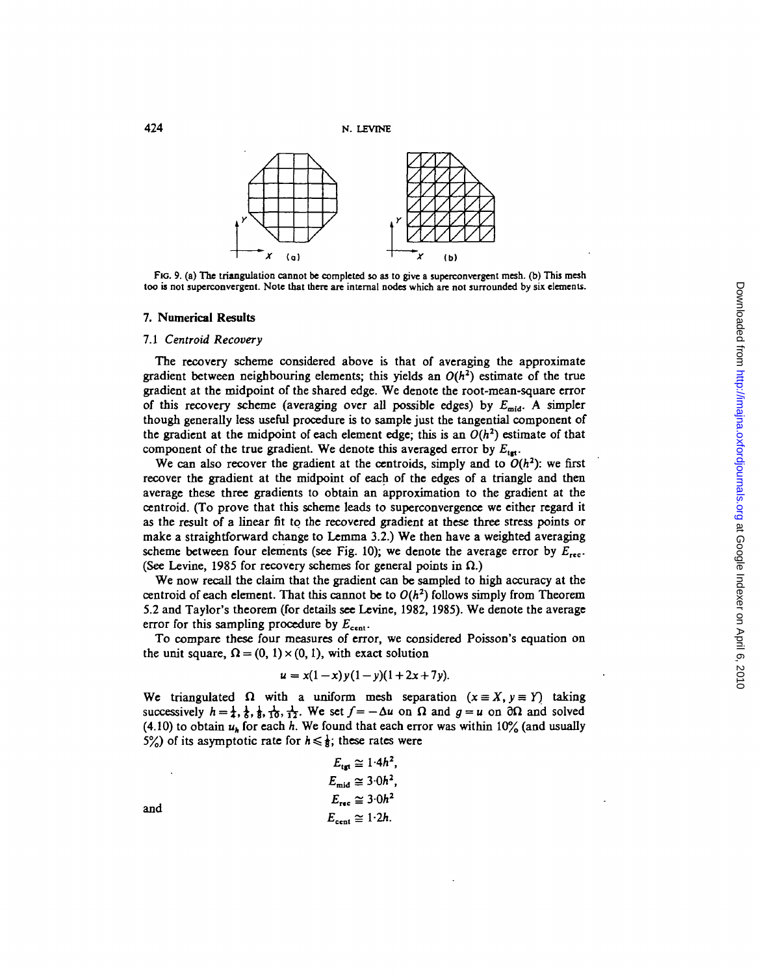**N . LEVINE**



FIG. 9. (a) The triangulation cannot be completed so as to give a superconvergent mesh. (b) This mesh too is not superconvergent. Note that there are internal nodes which are not surrounded by six elements.

# 7 . Numerica l Result s

# 7. 1 *Centroid Recovery*

The recovery scheme considered above is that of averaging the approximate gradient between neighbouring elements; this yields an  $O(h^2)$  estimate of the true gradient at the midpoint of the shared edge. We denote the root-mean-square error of this recovery scheme (averaging over all possible edges) by  $E_{mid}$ . A simpler though generally less useful procedure is to sample just the tangential component of the gradient at the midpoint of each element edge; this is an  $O(h^2)$  estimate of that component of the true gradient. We denote this averaged error by  $E_{\text{tgt}}$ .

We can also recover the gradient at the centroids, simply and to  $O(h^2)$ : we first recover the gradient at the midpoint of each of the edges of a triangle and then average these three gradients to obtain an approximation to the gradient at the centroid. (To prove that this scheme leads to superconvergence we either regard it as the result of a linear fit to the recovered gradient at these three stress points or mak e a straightforwar d chang e t o Lemm a 3.2. ) W e the n hav e a weighte d averagin g scheme between four elements (see Fig. 10); we denote the average error by  $E_{\text{rec}}$ . (See Levine, 1985 for recovery schemes for general points in  $\Omega$ .)

We now recall the claim that the gradient can be sampled to high accuracy at the centroid of each element. That this cannot be to  $O(h^2)$  follows simply from Theorem 5.2 and Taylor's theorem (for details see Levine, 1982, 1985). We denote the average error for this sampling procedure by  $E_{cent}$ .

To compare these four measures of error, we considered Poisson's equation on the unit square,  $\Omega = (0, 1) \times (0, 1)$ , with exact solution

$$
u = x(1-x)y(1-y)(1+2x+7y).
$$

We triangulated  $\Omega$  with a uniform mesh separation  $(x \equiv X, y \equiv Y)$  taking successively  $h = \frac{1}{4}$ ,  $\frac{1}{6}$ ,  $\frac{1}{10}$ ,  $\frac{1}{12}$ . We set  $f = -\Delta u$  on  $\Omega$  and  $g = u$  on  $\partial\Omega$  and solved (4.10) to obtain  $u<sub>h</sub>$  for each *h*. We found that each error was within 10% (and usually 5%) of its asymptotic rate for  $h \leq \frac{1}{6}$ ; these rates were

$$
E_{\text{tgt}} \cong 1.4h^2,
$$
  
\n
$$
E_{\text{mid}} \cong 3.0h^2,
$$
  
\n
$$
E_{\text{rec}} \cong 3.0h^2
$$
  
\n
$$
E_{\text{cent}} \cong 1.2h.
$$

an d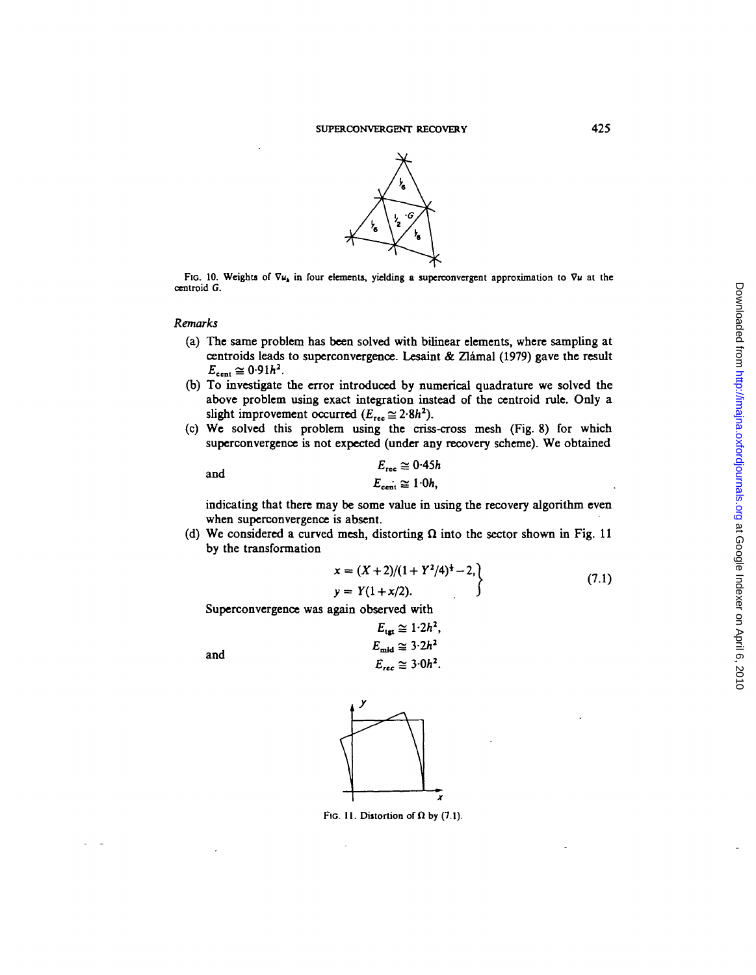

FIG. 10. Weights of  $\nabla u_{\mathbf{k}}$  in four elements, yielding a superconvergent approximation to  $\nabla u$  at the **ccntroid G.**

### *Remarks*

- (a) The same problem has been solved with bilinear elements, where sampling at centroids leads to superconvergence. Lesaint & Zlamal (1979) gave the result  $E_{\text{cent}} \cong 0.91h^2$ .
- (b) To investigate the error introduced by numerical quadrature we solved the above problem using exact integration instead of the centroid rule. Only a slight improvement occurred  $(E_{\text{rec}} \approx 2.8h^2)$ .
- (c) We solved this problem using the criss-cross mesh (Fig. 8) for which superconvergence is not expected (under any recovery scheme). We obtained

and 
$$
E_{\text{rec}} \cong 0.45h
$$

$$
E_{\text{cent}} \cong 1.0h,
$$

indicating that there may be some value in using the recovery algorithm even when superconvergence is absent.

 $E_{\text{tgt}} \cong 1.2h^2$ ,

(d) We considered a curved mesh, distorting  $\Omega$  into the sector shown in Fig. 11 by the transformation

$$
x = (X+2)/(1+Y^2/4)^{\frac{1}{2}}-2,
$$
  
\n
$$
y = Y(1+x/2).
$$
 (7.1)

Superconvergence was again observed with

and  $\frac{m}{\sqrt{m}}$ 



FIG. 11. Distortion of  $\Omega$  by (7.1).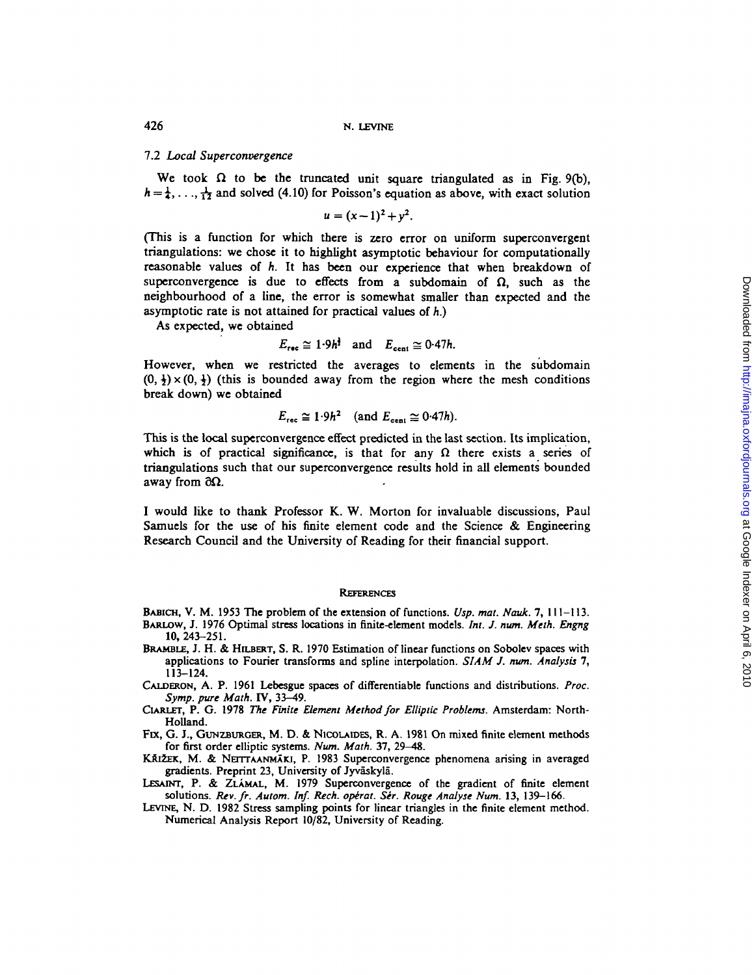# 7. 2 *Local Superconvergence*

We took  $\Omega$  to be the truncated unit square triangulated as in Fig. 9(b),  $h = \frac{1}{4}, \ldots, \frac{1}{12}$  and solved (4.10) for Poisson's equation as above, with exact solution

 $u = (x-1)^2 + y^2$ .

(This is a function for which there is zero error on uniform superconvergent triangulations : we chos e i t t o highligh t asymptoti c behaviou r for computationall y reasonable values of *h*. It has been our experience that when breakdown of superconvergence is due to effects from a subdomain of  $\Omega$ , such as the neighbourhood of a line, the error is somewhat smaller than expected and the asymptoti c rat e i s no t attaine d for practica l value s of *h.)*

As expected, we obtained

$$
E_{\text{rec}} \cong 1.9h^{\frac{1}{2}}
$$
 and  $E_{\text{cent}} \cong 0.47h$ .

However , whe n we restricte d th e average s t o element s i n th e subdomai n  $(0, \frac{1}{2}) \times (0, \frac{1}{2})$  (this is bounded away from the region where the mesh conditions brea k down ) w e obtaine d

$$
E_{\text{rec}} \cong 1.9h^2
$$
 (and  $E_{\text{cent}} \cong 0.47h$ ).

This is the local superconvergence effect predicted in the last section. Its implication, which is of practical significance, is that for any  $\Omega$  there exists a series of triangulations such that our superconvergence results hold in all elements bounded away from  $\partial \Omega$ .

I would like to thank Professor K. W. Morton for invaluable discussions, Paul Samuels for the use of his finite element code and the Science & Engineering Research Council and the University of Reading for their financial support.

#### **REFERENCE S**

- **BABICH, V. M. 1953 The problem of the extension of functions. Usp. mat. Nauk. 7, 111-113. BARLOW , J . 197 6 Optima l stres s location s i n finite-elemen t models .** *Int. J. num. Meth. Engng* **10 , 243-251 .**
- **BRAMBLE, J. H. & HILBERT, S. R. 1970 Estimation of linear functions on Sobolev spaces with** applications to Fourier transforms and spline interpolation. SIAM J. num. Analysis 7, **113-124 .**
- **CALDERON , A . P . 196 1 Lebesgu e space s o f differentiabl e function s an d distributions .** *Proc. Symp. pure Math.* **IV , 33-49 .**
- **CIARLET , P . G . 197 8** *The Finite Element Method for Elliptic Problems.* **Amsterdam : North - Holland .**
- **Frx , G . J. , GUNZBURGER , M . D . & NICOLAIDES , R . A . 198 1 O n mixe d finite elemen t method s fo r first orde r ellipti c systems .** *Num. Math.* **37 , 29-48 .**
- **KAIZEK**, M. & NETTAANMAKI, P. 1983 Superconvergence phenomena arising in averaged **gradients . Preprin t 23 , Universit y o f Jyvaskyla .**
- LESAINT, P. & ZLÁMAL, M. 1979 Superconvergence of the gradient of finite element **solutions .** *Rev.fr. Autom. Inf. Rech. opkrat. Sir. Rouge Analyse Num.* **13 , 139-166 .**
- **LEVINE**, N. D. 1982 Stress sampling points for linear triangles in the finite element method. **Numerica l Analysi s Repor t 10/82 , Universit y o f Reading .**